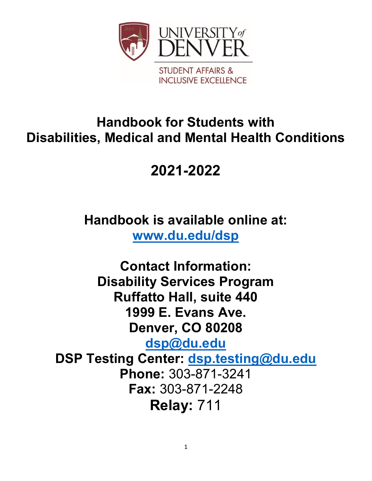

# **Handbook for Students with Disabilities, Medical and Mental Health Conditions**

# **2021-2022**

**Handbook is available online at: [www.du.edu/dsp](http://www.du.edu/dsp)**

**Contact Information: Disability Services Program Ruffatto Hall, suite 440 1999 E. Evans Ave. Denver, CO 80208 [dsp@du.edu](mailto:dsp@du.edu) DSP Testing Center: [dsp.testing@du.edu](mailto:dsp.testing@du.edu) Phone:** 303-871-3241 **Fax:** 303-871-2248 **Relay:** 711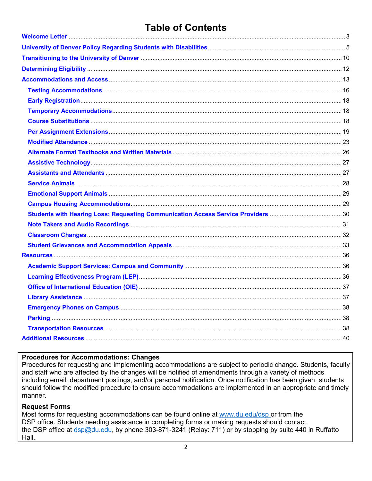## **Table of Contents**

#### **Procedures for Accommodations: Changes**

Procedures for requesting and implementing accommodations are subject to periodic change. Students, faculty and staff who are affected by the changes will be notified of amendments through a variety of methods including email, department postings, and/or personal notification. Once notification has been given, students should follow the modified procedure to ensure accommodations are implemented in an appropriate and timely manner.

#### **Request Forms**

Most forms for requesting accommodations can be found online at www.du.edu/dsp or from the DSP office. Students needing assistance in completing forms or making requests should contact the DSP office at dsp@du.edu, by phone 303-871-3241 (Relay: 711) or by stopping by suite 440 in Ruffatto Hall.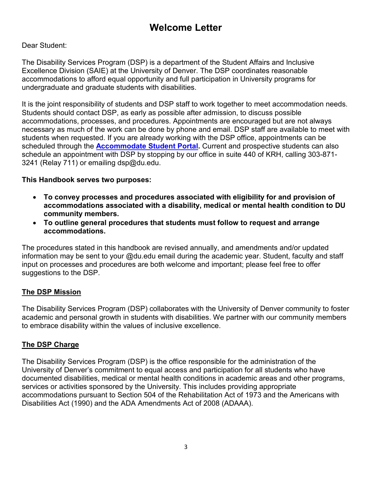## **Welcome Letter**

#### <span id="page-2-0"></span>Dear Student:

The Disability Services Program (DSP) is a department of the Student Affairs and Inclusive Excellence Division (SAIE) at the University of Denver. The DSP coordinates reasonable accommodations to afford equal opportunity and full participation in University programs for undergraduate and graduate students with disabilities.

It is the joint responsibility of students and DSP staff to work together to meet accommodation needs. Students should contact DSP, as early as possible after admission, to discuss possible accommodations, processes, and procedures. Appointments are encouraged but are not always necessary as much of the work can be done by phone and email. DSP staff are available to meet with students when requested. If you are already working with the DSP office, appointments can be scheduled through the **[Accommodate Student Portal.](https://du-accommodate.symplicity.com/)** Current and prospective students can also schedule an appointment with DSP by stopping by our office in suite 440 of KRH, calling 303-871- 3241 (Relay 711) or emailing dsp@du.edu.

#### **This Handbook serves two purposes:**

- **To convey processes and procedures associated with eligibility for and provision of accommodations associated with a disability, medical or mental health condition to DU community members.**
- **To outline general procedures that students must follow to request and arrange accommodations.**

The procedures stated in this handbook are revised annually, and amendments and/or updated information may be sent to your @du.edu email during the academic year. Student, faculty and staff input on processes and procedures are both welcome and important; please feel free to offer suggestions to the DSP.

### **The DSP Mission**

The Disability Services Program (DSP) collaborates with the University of Denver community to foster academic and personal growth in students with disabilities. We partner with our community members to embrace disability within the values of inclusive excellence.

### **The DSP Charge**

The Disability Services Program (DSP) is the office responsible for the administration of the University of Denver's commitment to equal access and participation for all students who have documented disabilities, medical or mental health conditions in academic areas and other programs, services or activities sponsored by the University. This includes providing appropriate accommodations pursuant to Section 504 of the Rehabilitation Act of 1973 and the Americans with Disabilities Act (1990) and the ADA Amendments Act of 2008 (ADAAA).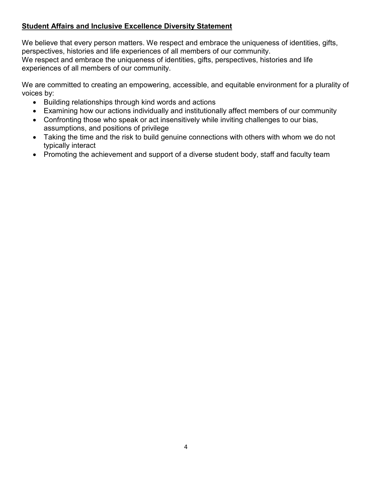## **Student Affairs and Inclusive Excellence Diversity Statement**

We believe that every person matters. We respect and embrace the uniqueness of identities, gifts, perspectives, histories and life experiences of all members of our community. We respect and embrace the uniqueness of identities, gifts, perspectives, histories and life experiences of all members of our community.

We are committed to creating an empowering, accessible, and equitable environment for a plurality of voices by:

- Building relationships through kind words and actions
- Examining how our actions individually and institutionally affect members of our community
- Confronting those who speak or act insensitively while inviting challenges to our bias, assumptions, and positions of privilege
- Taking the time and the risk to build genuine connections with others with whom we do not typically interact
- Promoting the achievement and support of a diverse student body, staff and faculty team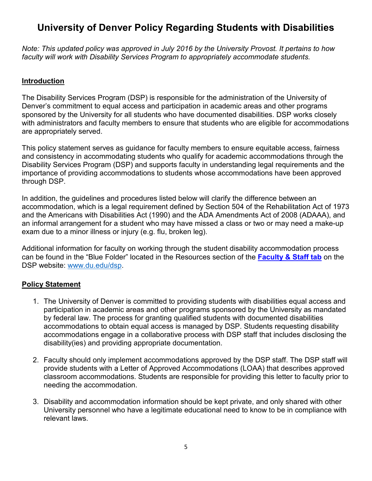## <span id="page-4-0"></span>**University of Denver Policy Regarding Students with Disabilities**

*Note: This updated policy was approved in July 2016 by the University Provost. It pertains to how faculty will work with Disability Services Program to appropriately accommodate students.*

### **Introduction**

The Disability Services Program (DSP) is responsible for the administration of the University of Denver's commitment to equal access and participation in academic areas and other programs sponsored by the University for all students who have documented disabilities. DSP works closely with administrators and faculty members to ensure that students who are eligible for accommodations are appropriately served.

This policy statement serves as guidance for faculty members to ensure equitable access, fairness and consistency in accommodating students who qualify for academic accommodations through the Disability Services Program (DSP) and supports faculty in understanding legal requirements and the importance of providing accommodations to students whose accommodations have been approved through DSP.

In addition, the guidelines and procedures listed below will clarify the difference between an accommodation, which is a legal requirement defined by Section 504 of the Rehabilitation Act of 1973 and the Americans with Disabilities Act (1990) and the ADA Amendments Act of 2008 (ADAAA), and an informal arrangement for a student who may have missed a class or two or may need a make-up exam due to a minor illness or injury (e.g. flu, broken leg).

Additional information for faculty on working through the student disability accommodation process can be found in the "Blue Folder" located in the Resources section of the **Faculty [& Staff tab](https://www.du.edu/studentlife/disability-services/faculty-staff/index.html)** on the DSP website: [www.du.edu/dsp.](http://www.du.edu/dsp)

### **Policy Statement**

- 1. The University of Denver is committed to providing students with disabilities equal access and participation in academic areas and other programs sponsored by the University as mandated by federal law. The process for granting qualified students with documented disabilities accommodations to obtain equal access is managed by DSP. Students requesting disability accommodations engage in a collaborative process with DSP staff that includes disclosing the disability(ies) and providing appropriate documentation.
- 2. Faculty should only implement accommodations approved by the DSP staff. The DSP staff will provide students with a Letter of Approved Accommodations (LOAA) that describes approved classroom accommodations. Students are responsible for providing this letter to faculty prior to needing the accommodation.
- 3. Disability and accommodation information should be kept private, and only shared with other University personnel who have a legitimate educational need to know to be in compliance with relevant laws.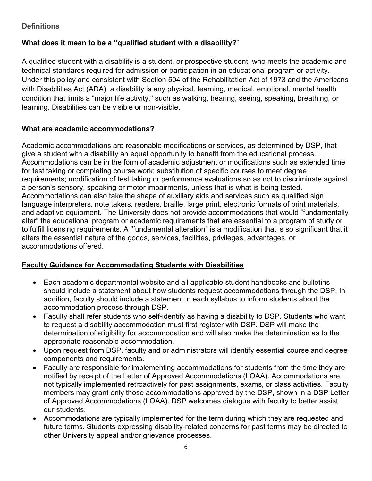## **Definitions**

## **What does it mean to be a "qualified student with a disability?**"

A qualified student with a disability is a student, or prospective student, who meets the academic and technical standards required for admission or participation in an educational program or activity. Under this policy and consistent with Section 504 of the Rehabilitation Act of 1973 and the Americans with Disabilities Act (ADA), a disability is any physical, learning, medical, emotional, mental health condition that limits a "major life activity," such as walking, hearing, seeing, speaking, breathing, or learning. Disabilities can be visible or non-visible.

## **What are academic accommodations?**

Academic accommodations are reasonable modifications or services, as determined by DSP, that give a student with a disability an equal opportunity to benefit from the educational process. Accommodations can be in the form of academic adjustment or modifications such as extended time for test taking or completing course work; substitution of specific courses to meet degree requirements; modification of test taking or performance evaluations so as not to discriminate against a person's sensory, speaking or motor impairments, unless that is what is being tested. Accommodations can also take the shape of auxiliary aids and services such as qualified sign language interpreters, note takers, readers, braille, large print, electronic formats of print materials, and adaptive equipment. The University does not provide accommodations that would "fundamentally alter" the educational program or academic requirements that are essential to a program of study or to fulfill licensing requirements. A "fundamental alteration" is a modification that is so significant that it alters the essential nature of the goods, services, facilities, privileges, advantages, or accommodations offered.

## **Faculty Guidance for Accommodating Students with Disabilities**

- Each academic departmental website and all applicable student handbooks and bulletins should include a statement about how students request accommodations through the DSP. In addition, faculty should include a statement in each syllabus to inform students about the accommodation process through DSP.
- Faculty shall refer students who self-identify as having a disability to DSP. Students who want to request a disability accommodation must first register with DSP. DSP will make the determination of eligibility for accommodation and will also make the determination as to the appropriate reasonable accommodation.
- Upon request from DSP, faculty and or administrators will identify essential course and degree components and requirements.
- Faculty are responsible for implementing accommodations for students from the time they are notified by receipt of the Letter of Approved Accommodations (LOAA). Accommodations are not typically implemented retroactively for past assignments, exams, or class activities. Faculty members may grant only those accommodations approved by the DSP, shown in a DSP Letter of Approved Accommodations (LOAA). DSP welcomes dialogue with faculty to better assist our students.
- Accommodations are typically implemented for the term during which they are requested and future terms. Students expressing disability-related concerns for past terms may be directed to other University appeal and/or grievance processes.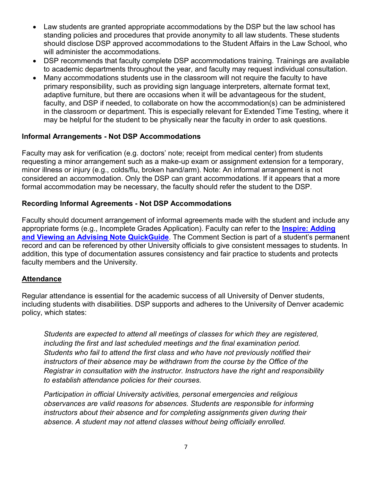- Law students are granted appropriate accommodations by the DSP but the law school has standing policies and procedures that provide anonymity to all law students. These students should disclose DSP approved accommodations to the Student Affairs in the Law School, who will administer the accommodations.
- DSP recommends that faculty complete DSP accommodations training. Trainings are available to academic departments throughout the year, and faculty may request individual consultation.
- Many accommodations students use in the classroom will not require the faculty to have primary responsibility, such as providing sign language interpreters, alternate format text, adaptive furniture, but there are occasions when it will be advantageous for the student, faculty, and DSP if needed, to collaborate on how the accommodation(s) can be administered in the classroom or department. This is especially relevant for Extended Time Testing, where it may be helpful for the student to be physically near the faculty in order to ask questions.

#### **Informal Arrangements - Not DSP Accommodations**

Faculty may ask for verification (e.g. doctors' note; receipt from medical center) from students requesting a minor arrangement such as a make-up exam or assignment extension for a temporary, minor illness or injury (e.g., colds/flu, broken hand/arm). Note: An informal arrangement is not considered an accommodation. Only the DSP can grant accommodations. If it appears that a more formal accommodation may be necessary, the faculty should refer the student to the DSP.

#### **Recording Informal Agreements - Not DSP Accommodations**

Faculty should document arrangement of informal agreements made with the student and include any appropriate forms (e.g., Incomplete Grades Application). Faculty can refer to the **[Inspire: Adding](https://www.du.edu/academicaffairs/media/documents/inspireadvisingnotes.pdf)  [and Viewing an Advising Note QuickGuide](https://www.du.edu/academicaffairs/media/documents/inspireadvisingnotes.pdf)**. The Comment Section is part of a student's permanent record and can be referenced by other University officials to give consistent messages to students. In addition, this type of documentation assures consistency and fair practice to students and protects faculty members and the University.

#### **Attendance**

Regular attendance is essential for the academic success of all University of Denver students, including students with disabilities. DSP supports and adheres to the University of Denver academic policy, which states:

*Students are expected to attend all meetings of classes for which they are registered, including the first and last scheduled meetings and the final examination period. Students who fail to attend the first class and who have not previously notified their instructors of their absence may be withdrawn from the course by the Office of the Registrar in consultation with the instructor. Instructors have the right and responsibility to establish attendance policies for their courses.*

*Participation in official University activities, personal emergencies and religious observances are valid reasons for absences. Students are responsible for informing instructors about their absence and for completing assignments given during their absence. A student may not attend classes without being officially enrolled.*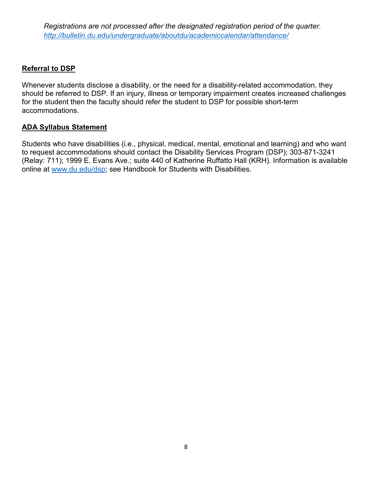*Registrations are not processed after the designated registration period of the quarter. <http://bulletin.du.edu/undergraduate/aboutdu/academiccalendar/attendance/>*

#### **Referral to DSP**

Whenever students disclose a disability, or the need for a disability-related accommodation, they should be referred to DSP. If an injury, illness or temporary impairment creates increased challenges for the student then the faculty should refer the student to DSP for possible short-term accommodations.

#### **ADA Syllabus Statement**

Students who have disabilities (i.e., physical, medical, mental, emotional and learning) and who want to request accommodations should contact the Disability Services Program (DSP); 303-871-3241 (Relay: 711); 1999 E. Evans Ave.; suite 440 of Katherine Ruffatto Hall (KRH). Information is available online at www.du.edu/dsp; see Handbook for Students with Disabilities.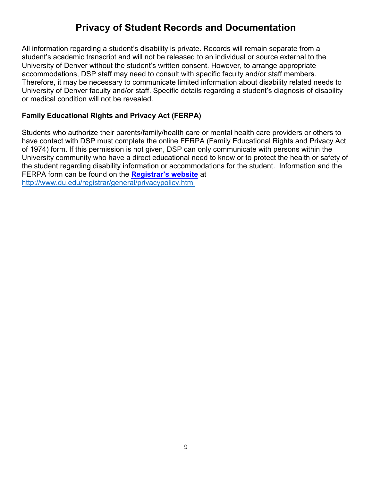## **Privacy of Student Records and Documentation**

All information regarding a student's disability is private. Records will remain separate from a student's academic transcript and will not be released to an individual or source external to the University of Denver without the student's written consent. However, to arrange appropriate accommodations, DSP staff may need to consult with specific faculty and/or staff members. Therefore, it may be necessary to communicate limited information about disability related needs to University of Denver faculty and/or staff. Specific details regarding a student's diagnosis of disability or medical condition will not be revealed.

#### **Family Educational Rights and Privacy Act (FERPA)**

Students who authorize their parents/family/health care or mental health care providers or others to have contact with DSP must complete the online FERPA (Family Educational Rights and Privacy Act of 1974) form. If this permission is not given, DSP can only communicate with persons within the University community who have a direct educational need to know or to protect the health or safety of the student regarding disability information or accommodations for the student. Information and the FERPA form can be found on the **[Registrar's website](http://www.du.edu/registrar/general/privacypolicy.html)** at <http://www.du.edu/registrar/general/privacypolicy.html>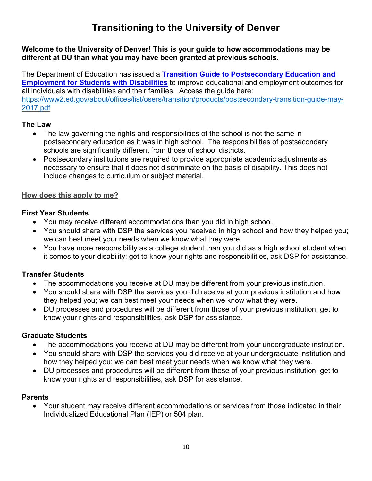## **Transitioning to the University of Denver**

## <span id="page-9-0"></span>**Welcome to the University of Denver! This is your guide to how accommodations may be different at DU than what you may have been granted at previous schools.**

The Department of Education has issued a **[Transition Guide to Postsecondary Education and](https://www2.ed.gov/about/offices/list/osers/transition/products/postsecondary-transition-guide-may-2017.pdf)  [Employment for Students with Disabilities](https://www2.ed.gov/about/offices/list/osers/transition/products/postsecondary-transition-guide-may-2017.pdf)** to improve educational and employment outcomes for all individuals with disabilities and their families. Access the guide here: [https://www2.ed.gov/about/offices/list/osers/transition/products/postsecondary-transition-guide-may-](https://www2.ed.gov/about/offices/list/osers/transition/products/postsecondary-transition-guide-may-2017.pdf)[2017.pdf](https://www2.ed.gov/about/offices/list/osers/transition/products/postsecondary-transition-guide-may-2017.pdf)

## **The Law**

- The law governing the rights and responsibilities of the school is not the same in postsecondary education as it was in high school. The responsibilities of postsecondary schools are significantly different from those of school districts.
- Postsecondary institutions are required to provide appropriate academic adjustments as necessary to ensure that it does not discriminate on the basis of disability. This does not include changes to curriculum or subject material.

## **How does this apply to me?**

## **First Year Students**

- You may receive different accommodations than you did in high school.
- You should share with DSP the services you received in high school and how they helped you; we can best meet your needs when we know what they were.
- You have more responsibility as a college student than you did as a high school student when it comes to your disability; get to know your rights and responsibilities, ask DSP for assistance.

## **Transfer Students**

- The accommodations you receive at DU may be different from your previous institution.
- You should share with DSP the services you did receive at your previous institution and how they helped you; we can best meet your needs when we know what they were.
- DU processes and procedures will be different from those of your previous institution; get to know your rights and responsibilities, ask DSP for assistance.

## **Graduate Students**

- The accommodations you receive at DU may be different from your undergraduate institution.
- You should share with DSP the services you did receive at your undergraduate institution and how they helped you; we can best meet your needs when we know what they were.
- DU processes and procedures will be different from those of your previous institution; get to know your rights and responsibilities, ask DSP for assistance.

## **Parents**

• Your student may receive different accommodations or services from those indicated in their Individualized Educational Plan (IEP) or 504 plan.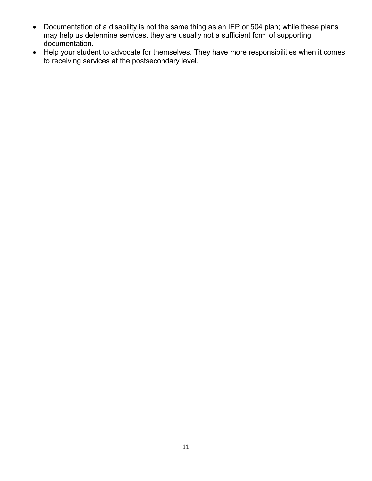- Documentation of a disability is not the same thing as an IEP or 504 plan; while these plans may help us determine services, they are usually not a sufficient form of supporting documentation.
- Help your student to advocate for themselves. They have more responsibilities when it comes to receiving services at the postsecondary level.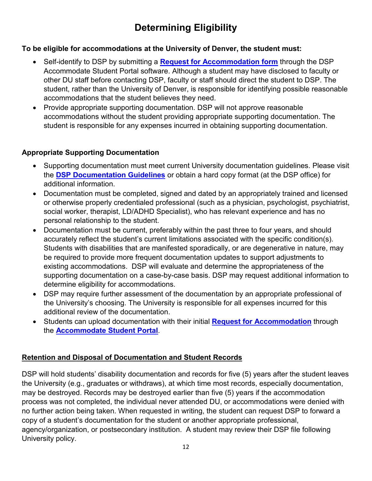## **Determining Eligibility**

## <span id="page-11-0"></span>**To be eligible for accommodations at the University of Denver, the student must:**

- Self-identify to DSP by submitting a **[Request for Accommodation form](https://du-accommodate.symplicity.com/public_accommodation/)** through the DSP Accommodate Student Portal software. Although a student may have disclosed to faculty or other DU staff before contacting DSP, faculty or staff should direct the student to DSP. The student, rather than the University of Denver, is responsible for identifying possible reasonable accommodations that the student believes they need.
- Provide appropriate supporting documentation. DSP will not approve reasonable accommodations without the student providing appropriate supporting documentation. The student is responsible for any expenses incurred in obtaining supporting documentation.

## **Appropriate Supporting Documentation**

- Supporting documentation must meet current University documentation guidelines. Please visit the **[DSP Documentation Guidelines](https://www.du.edu/studentlife/disability-services/media/documents/documentation_guidelines.pdf)** or obtain a hard copy format (at the DSP office) for additional information.
- Documentation must be completed, signed and dated by an appropriately trained and licensed or otherwise properly credentialed professional (such as a physician, psychologist, psychiatrist, social worker, therapist, LD/ADHD Specialist), who has relevant experience and has no personal relationship to the student.
- Documentation must be current, preferably within the past three to four years, and should accurately reflect the student's current limitations associated with the specific condition(s). Students with disabilities that are manifested sporadically, or are degenerative in nature, may be required to provide more frequent documentation updates to support adjustments to existing accommodations. DSP will evaluate and determine the appropriateness of the supporting documentation on a case-by-case basis. DSP may request additional information to determine eligibility for accommodations.
- DSP may require further assessment of the documentation by an appropriate professional of the University's choosing. The University is responsible for all expenses incurred for this additional review of the documentation.
- Students can upload documentation with their initial **[Request for Accommodation](https://du-accommodate.symplicity.com/public_accommodation/)** through the **[Accommodate Student Portal](https://du-accommodate.symplicity.com/)**.

## **Retention and Disposal of Documentation and Student Records**

DSP will hold students' disability documentation and records for five (5) years after the student leaves the University (e.g., graduates or withdraws), at which time most records, especially documentation, may be destroyed. Records may be destroyed earlier than five (5) years if the accommodation process was not completed, the individual never attended DU, or accommodations were denied with no further action being taken. When requested in writing, the student can request DSP to forward a copy of a student's documentation for the student or another appropriate professional, agency/organization, or postsecondary institution. A student may review their DSP file following University policy.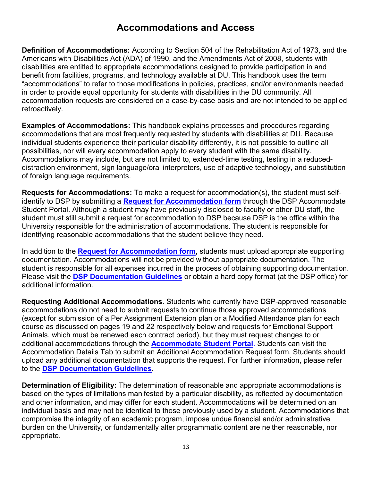## **Accommodations and Access**

<span id="page-12-0"></span>**Definition of Accommodations:** According to Section 504 of the Rehabilitation Act of 1973, and the Americans with Disabilities Act (ADA) of 1990, and the Amendments Act of 2008, students with disabilities are entitled to appropriate accommodations designed to provide participation in and benefit from facilities, programs, and technology available at DU. This handbook uses the term "accommodations" to refer to those modifications in policies, practices, and/or environments needed in order to provide equal opportunity for students with disabilities in the DU community. All accommodation requests are considered on a case-by-case basis and are not intended to be applied retroactively.

**Examples of Accommodations:** This handbook explains processes and procedures regarding accommodations that are most frequently requested by students with disabilities at DU. Because individual students experience their particular disability differently, it is not possible to outline all possibilities, nor will every accommodation apply to every student with the same disability. Accommodations may include, but are not limited to, extended-time testing, testing in a reduceddistraction environment, sign language/oral interpreters, use of adaptive technology, and substitution of foreign language requirements.

**Requests for Accommodations:** To make a request for accommodation(s), the student must selfidentify to DSP by submitting a **[Request for Accommodation form](https://du-accommodate.symplicity.com/public_accommodation/)** through the DSP Accommodate Student Portal. Although a student may have previously disclosed to faculty or other DU staff, the student must still submit a request for accommodation to DSP because DSP is the office within the University responsible for the administration of accommodations. The student is responsible for identifying reasonable accommodations that the student believe they need.

In addition to the **[Request for Accommodation form](https://du-accommodate.symplicity.com/public_accommodation/)**, students must upload appropriate supporting documentation. Accommodations will not be provided without appropriate documentation. The student is responsible for all expenses incurred in the process of obtaining supporting documentation. Please visit the **[DSP Documentation Guidelines](https://www.du.edu/studentlife/disability-services/media/documents/documentation_guidelines.pdf)** or obtain a hard copy format (at the DSP office) for additional information.

**Requesting Additional Accommodations**. Students who currently have DSP-approved reasonable accommodations do not need to submit requests to continue those approved accommodations (except for submission of a Per Assignment Extension plan or a Modified Attendance plan for each course as discussed on pages 19 and 22 respectively below and requests for Emotional Support Animals, which must be renewed each contract period), but they must request changes to or additional accommodations through the **[Accommodate Student Portal](https://du-accommodate.symplicity.com/)**. Students can visit the Accommodation Details Tab to submit an Additional Accommodation Request form. Students should upload any additional documentation that supports the request. For further information, please refer to the **[DSP Documentation Guidelines](https://www.du.edu/studentlife/disability-services/media/documents/documentation_guidelines.pdf)**.

**Determination of Eligibility:** The determination of reasonable and appropriate accommodations is based on the types of limitations manifested by a particular disability, as reflected by documentation and other information, and may differ for each student. Accommodations will be determined on an individual basis and may not be identical to those previously used by a student. Accommodations that compromise the integrity of an academic program, impose undue financial and/or administrative burden on the University, or fundamentally alter programmatic content are neither reasonable, nor appropriate.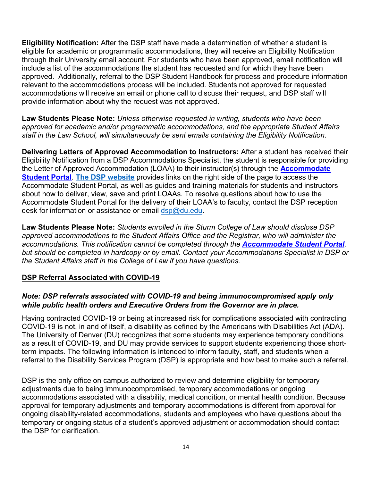**Eligibility Notification:** After the DSP staff have made a determination of whether a student is eligible for academic or programmatic accommodations, they will receive an Eligibility Notification through their University email account. For students who have been approved, email notification will include a list of the accommodations the student has requested and for which they have been approved. Additionally, referral to the DSP Student Handbook for process and procedure information relevant to the accommodations process will be included. Students not approved for requested accommodations will receive an email or phone call to discuss their request, and DSP staff will provide information about why the request was not approved.

**Law Students Please Note:** *Unless otherwise requested in writing, students who have been approved for academic and/or programmatic accommodations, and the appropriate Student Affairs staff in the Law School, will simultaneously be sent emails containing the Eligibility Notification.*

**Delivering Letters of Approved Accommodation to Instructors:** After a student has received their Eligibility Notification from a DSP Accommodations Specialist, the student is responsible for providing the Letter of Approved Accommodation (LOAA) to their instructor(s) through the **[Accommodate](https://du-accommodate.symplicity.com/)  [Student Portal](https://du-accommodate.symplicity.com/)**. **[The DSP website](https://www.du.edu/studentlife/disability-services/)** provides links on the right side of the page to access the Accommodate Student Portal, as well as guides and training materials for students and instructors about how to deliver, view, save and print LOAAs. To resolve questions about how to use the Accommodate Student Portal for the delivery of their LOAA's to faculty, contact the DSP reception desk for information or assistance or email [dsp@du.edu.](mailto:dsp@du.edu)

**Law Students Please Note:** *Students enrolled in the Sturm College of Law should disclose DSP approved accommodations to the Student Affairs Office and the Registrar, who will administer the accommodations. This notification cannot be completed through the [Accommodate Student Portal](https://du-accommodate.symplicity.com/). but should be completed in hardcopy or by email. Contact your Accommodations Specialist in DSP or the Student Affairs staff in the College of Law if you have questions.*

### **DSP Referral Associated with COVID-19**

#### *Note: DSP referrals associated with COVID-19 and being immunocompromised apply only while public health orders and Executive Orders from the Governor are in place.*

Having contracted COVID-19 or being at increased risk for complications associated with contracting COVID-19 is not, in and of itself, a disability as defined by the Americans with Disabilities Act (ADA). The University of Denver (DU) recognizes that some students may experience temporary conditions as a result of COVID-19, and DU may provide services to support students experiencing those shortterm impacts. The following information is intended to inform faculty, staff, and students when a referral to the Disability Services Program (DSP) is appropriate and how best to make such a referral.

DSP is the only office on campus authorized to review and determine eligibility for temporary adjustments due to being immunocompromised, temporary accommodations or ongoing accommodations associated with a disability, medical condition, or mental health condition. Because approval for temporary adjustments and temporary accommodations is different from approval for ongoing disability-related accommodations, students and employees who have questions about the temporary or ongoing status of a student's approved adjustment or accommodation should contact the DSP for clarification.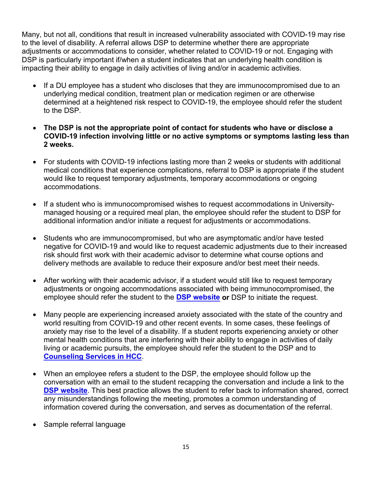Many, but not all, conditions that result in increased vulnerability associated with COVID-19 may rise to the level of disability. A referral allows DSP to determine whether there are appropriate adjustments or accommodations to consider, whether related to COVID-19 or not. Engaging with DSP is particularly important if/when a student indicates that an underlying health condition is impacting their ability to engage in daily activities of living and/or in academic activities.

- If a DU employee has a student who discloses that they are immunocompromised due to an underlying medical condition, treatment plan or medication regimen or are otherwise determined at a heightened risk respect to COVID-19, the employee should refer the student to the DSP.
- **The DSP is not the appropriate point of contact for students who have or disclose a COVID-19 infection involving little or no active symptoms or symptoms lasting less than 2 weeks.**
- For students with COVID-19 infections lasting more than 2 weeks or students with additional medical conditions that experience complications, referral to DSP is appropriate if the student would like to request temporary adjustments, temporary accommodations or ongoing accommodations.
- If a student who is immunocompromised wishes to request accommodations in Universitymanaged housing or a required meal plan, the employee should refer the student to DSP for additional information and/or initiate a request for adjustments or accommodations.
- Students who are immunocompromised, but who are asymptomatic and/or have tested negative for COVID-19 and would like to request academic adjustments due to their increased risk should first work with their academic advisor to determine what course options and delivery methods are available to reduce their exposure and/or best meet their needs.
- After working with their academic advisor, if a student would still like to request temporary adjustments or ongoing accommodations associated with being immunocompromised, the employee should refer the student to the **[DSP website](https://www.du.edu/studentlife/disability-services/index.html) or** DSP to initiate the request.
- Many people are experiencing increased anxiety associated with the state of the country and world resulting from COVID-19 and other recent events. In some cases, these feelings of anxiety may rise to the level of a disability. If a student reports experiencing anxiety or other mental health conditions that are interfering with their ability to engage in activities of daily living or academic pursuits, the employee should refer the student to the DSP and to **[Counseling Services in HCC](https://www.du.edu/health-and-counseling-center/counseling/index.html)**.
- When an employee refers a student to the DSP, the employee should follow up the conversation with an email to the student recapping the conversation and include a link to the **[DSP website](https://www.du.edu/studentlife/disability-services/index.html)**. This best practice allows the student to refer back to information shared, correct any misunderstandings following the meeting, promotes a common understanding of information covered during the conversation, and serves as documentation of the referral.
- Sample referral language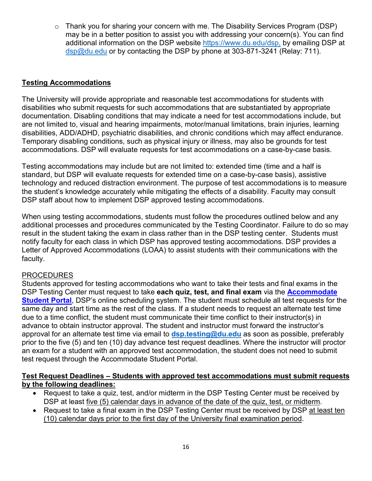$\circ$  Thank you for sharing your concern with me. The Disability Services Program (DSP) may be in a better position to assist you with addressing your concern(s). You can find additional information on the DSP website https://www.du.edu/dsp. by emailing DSP at [dsp@du.edu](mailto:dsp@du.edu) or by contacting the DSP by phone at 303-871-3241 (Relay: 711).

## <span id="page-15-0"></span>**Testing Accommodations**

The University will provide appropriate and reasonable test accommodations for students with disabilities who submit requests for such accommodations that are substantiated by appropriate documentation. Disabling conditions that may indicate a need for test accommodations include, but are not limited to, visual and hearing impairments, motor/manual limitations, brain injuries, learning disabilities, ADD/ADHD, psychiatric disabilities, and chronic conditions which may affect endurance. Temporary disabling conditions, such as physical injury or illness, may also be grounds for test accommodations. DSP will evaluate requests for test accommodations on a case-by-case basis.

Testing accommodations may include but are not limited to: extended time (time and a half is standard, but DSP will evaluate requests for extended time on a case-by-case basis), assistive technology and reduced distraction environment. The purpose of test accommodations is to measure the student's knowledge accurately while mitigating the effects of a disability. Faculty may consult DSP staff about how to implement DSP approved testing accommodations.

When using testing accommodations, students must follow the procedures outlined below and any additional processes and procedures communicated by the Testing Coordinator. Failure to do so may result in the student taking the exam in class rather than in the DSP testing center. Students must notify faculty for each class in which DSP has approved testing accommodations. DSP provides a Letter of Approved Accommodations (LOAA) to assist students with their communications with the faculty.

### PROCEDURES

Students approved for testing accommodations who want to take their tests and final exams in the DSP Testing Center must request to take **each quiz, test, and final exam** via the **[Accommodate](https://du-accommodate.symplicity.com/)  [Student Portal](https://du-accommodate.symplicity.com/)**, DSP's online scheduling system. The student must schedule all test requests for the same day and start time as the rest of the class. If a student needs to request an alternate test time due to a time conflict, the student must communicate their time conflict to their instructor(s) in advance to obtain instructor approval. The student and instructor must forward the instructor's approval for an alternate test time via email to **[dsp.testing@du.edu](mailto:dsp.testing@du.edu)** as soon as possible, preferably prior to the five (5) and ten (10) day advance test request deadlines. Where the instructor will proctor an exam for a student with an approved test accommodation, the student does not need to submit test request through the Accommodate Student Portal.

#### **Test Request Deadlines – Students with approved test accommodations must submit requests by the following deadlines:**

- Request to take a quiz, test, and/or midterm in the DSP Testing Center must be received by DSP at least five (5) calendar days in advance of the date of the quiz, test, or midterm.
- Request to take a final exam in the DSP Testing Center must be received by DSP at least ten (10) calendar days prior to the first day of the University final examination period.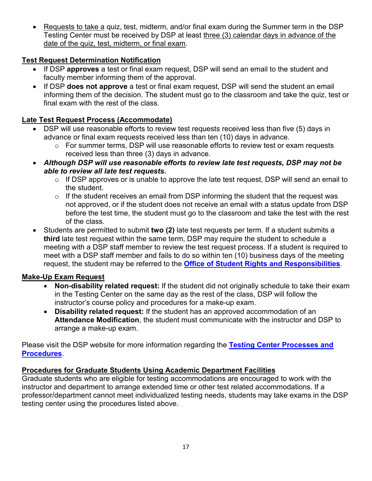Requests to take a quiz, test, midterm, and/or final exam during the Summer term in the DSP Testing Center must be received by DSP at least three (3) calendar days in advance of the date of the quiz, test, midterm, or final exam.

## **Test Request Determination Notification**

- If DSP **approves** a test or final exam request, DSP will send an email to the student and faculty member informing them of the approval.
- If DSP **does not approve** a test or final exam request, DSP will send the student an email informing them of the decision. The student must go to the classroom and take the quiz, test or final exam with the rest of the class.

## **Late Test Request Process (Accommodate)**

- DSP will use reasonable efforts to review test requests received less than five (5) days in advance or final exam requests received less than ten (10) days in advance.
	- o For summer terms, DSP will use reasonable efforts to review test or exam requests received less than three (3) days in advance.
- *Although DSP will use reasonable efforts to review late test requests, DSP may not be able to review all late test requests.*
	- $\circ$  If DSP approves or is unable to approve the late test request, DSP will send an email to the student.
	- $\circ$  If the student receives an email from DSP informing the student that the request was not approved, or if the student does not receive an email with a status update from DSP before the test time, the student must go to the classroom and take the test with the rest of the class.
- Students are permitted to submit **two (2)** late test requests per term. If a student submits a **third** late test request within the same term, DSP may require the student to schedule a meeting with a DSP staff member to review the test request process. If a student is required to meet with a DSP staff member and fails to do so within ten (10) business days of the meeting request, the student may be referred to the **[Office of Student Rights and Responsibilities](https://www.du.edu/studentlife/studentconduct/)**.

### **Make-Up Exam Request**

- **Non-disability related request:** If the student did not originally schedule to take their exam in the Testing Center on the same day as the rest of the class, DSP will follow the instructor's course policy and procedures for a make-up exam.
- **Disability related request:** If the student has an approved accommodation of an **Attendance Modification**, the student must communicate with the instructor and DSP to arrange a make-up exam.

Please visit the DSP website for more information regarding the **[Testing Center Processes](http://www.du.edu/studentlife/disability-services/testing-center/index.html) and [Procedures](http://www.du.edu/studentlife/disability-services/testing-center/index.html)**.

### **Procedures for Graduate Students Using Academic Department Facilities**

Graduate students who are eligible for testing accommodations are encouraged to work with the instructor and department to arrange extended time or other test related accommodations. If a professor/department cannot meet individualized testing needs, students may take exams in the DSP testing center using the procedures listed above.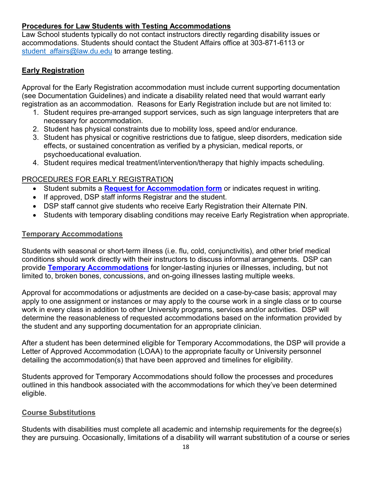## **Procedures for Law Students with Testing Accommodations**

Law School students typically do not contact instructors directly regarding disability issues or accommodations. Students should contact the Student Affairs office at 303-871-6113 or student affairs@law.du.edu to arrange testing.

## <span id="page-17-0"></span>**Early Registration**

Approval for the Early Registration accommodation must include current supporting documentation (see Documentation Guidelines) and indicate a disability related need that would warrant early registration as an accommodation. Reasons for Early Registration include but are not limited to:

- 1. Student requires pre-arranged support services, such as sign language interpreters that are necessary for accommodation.
- 2. Student has physical constraints due to mobility loss, speed and/or endurance.
- 3. Student has physical or cognitive restrictions due to fatigue, sleep disorders, medication side effects, or sustained concentration as verified by a physician, medical reports, or psychoeducational evaluation.
- 4. Student requires medical treatment/intervention/therapy that highly impacts scheduling.

## PROCEDURES FOR EARLY REGISTRATION

- Student submits a **[Request for Accommodation form](https://du-accommodate.symplicity.com/public_accommodation/)** or indicates request in writing.
- If approved, DSP staff informs Registrar and the student.
- DSP staff cannot give students who receive Early Registration their Alternate PIN.
- Students with temporary disabling conditions may receive Early Registration when appropriate.

## <span id="page-17-1"></span>**Temporary Accommodations**

Students with seasonal or short-term illness (i.e. flu, cold, conjunctivitis), and other brief medical conditions should work directly with their instructors to discuss informal arrangements. DSP can provide **[Temporary Accommodations](https://du-accommodate.symplicity.com/public_accommodation/)** for longer-lasting injuries or illnesses, including, but not limited to, broken bones, concussions, and on-going illnesses lasting multiple weeks.

Approval for accommodations or adjustments are decided on a case-by-case basis; approval may apply to one assignment or instances or may apply to the course work in a single class or to course work in every class in addition to other University programs, services and/or activities. DSP will determine the reasonableness of requested accommodations based on the information provided by the student and any supporting documentation for an appropriate clinician.

After a student has been determined eligible for Temporary Accommodations, the DSP will provide a Letter of Approved Accommodation (LOAA) to the appropriate faculty or University personnel detailing the accommodation(s) that have been approved and timelines for eligibility.

Students approved for Temporary Accommodations should follow the processes and procedures outlined in this handbook associated with the accommodations for which they've been determined eligible.

## <span id="page-17-2"></span>**Course Substitutions**

Students with disabilities must complete all academic and internship requirements for the degree(s) they are pursuing. Occasionally, limitations of a disability will warrant substitution of a course or series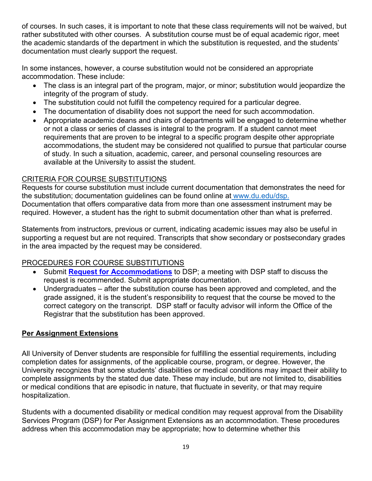of courses. In such cases, it is important to note that these class requirements will not be waived, but rather substituted with other courses. A substitution course must be of equal academic rigor, meet the academic standards of the department in which the substitution is requested, and the students' documentation must clearly support the request.

In some instances, however, a course substitution would not be considered an appropriate accommodation. These include:

- The class is an integral part of the program, major, or minor; substitution would jeopardize the integrity of the program of study.
- The substitution could not fulfill the competency required for a particular degree.
- The documentation of disability does not support the need for such accommodation.
- Appropriate academic deans and chairs of departments will be engaged to determine whether or not a class or series of classes is integral to the program. If a student cannot meet requirements that are proven to be integral to a specific program despite other appropriate accommodations, the student may be considered not qualified to pursue that particular course of study. In such a situation, academic, career, and personal counseling resources are available at the University to assist the student.

## CRITERIA FOR COURSE SUBSTITUTIONS

Requests for course substitution must include current documentation that demonstrates the need for the substitution; documentation guidelines can be found online a[t](http://www.du.edu/studentlife/disability/dsp) [www.du.edu/dsp](http://www.du.edu/dsp)[.](http://www.du.edu/studentlife/disability/dsp) Documentation that offers comparative data from more than one assessment instrument may be required. However, a student has the right to submit documentation other than what is preferred.

Statements from instructors, previous or current, indicating academic issues may also be useful in supporting a request but are not required. Transcripts that show secondary or postsecondary grades in the area impacted by the request may be considered.

## PROCEDURES FOR COURSE SUBSTITUTIONS

- Submit **[Request for Accommodations](https://du-accommodate.symplicity.com/public_accommodation/)** to DSP; a meeting with DSP staff to discuss the request is recommended. Submit appropriate documentation.
- Undergraduates after the substitution course has been approved and completed, and the grade assigned, it is the student's responsibility to request that the course be moved to the correct category on the transcript. DSP staff or faculty advisor will inform the Office of the Registrar that the substitution has been approved.

## <span id="page-18-0"></span>**Per Assignment Extensions**

All University of Denver students are responsible for fulfilling the essential requirements, including completion dates for assignments, of the applicable course, program, or degree. However, the University recognizes that some students' disabilities or medical conditions may impact their ability to complete assignments by the stated due date. These may include, but are not limited to, disabilities or medical conditions that are episodic in nature, that fluctuate in severity, or that may require hospitalization.

Students with a documented disability or medical condition may request approval from the Disability Services Program (DSP) for Per Assignment Extensions as an accommodation. These procedures address when this accommodation may be appropriate; how to determine whether this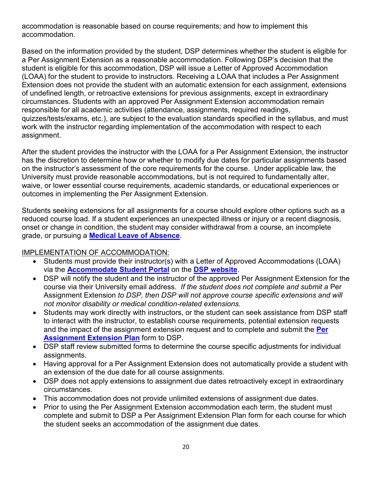accommodation is reasonable based on course requirements; and how to implement this accommodation.

Based on the information provided by the student, DSP determines whether the student is eligible for a Per Assignment Extension as a reasonable accommodation. Following DSP's decision that the student is eligible for this accommodation, DSP will issue a Letter of Approved Accommodation (LOAA) for the student to provide to instructors. Receiving a LOAA that includes a Per Assignment Extension does not provide the student with an automatic extension for each assignment, extensions of undefined length, or retroactive extensions for previous assignments, except in extraordinary circumstances. Students with an approved Per Assignment Extension accommodation remain responsible for all academic activities (attendance, assignments, required readings, quizzes/tests/exams, etc.), are subject to the evaluation standards specified in the syllabus, and must work with the instructor regarding implementation of the accommodation with respect to each assignment.

After the student provides the instructor with the LOAA for a Per Assignment Extension, the instructor has the discretion to determine how or whether to modify due dates for particular assignments based on the instructor's assessment of the core requirements for the course. Under applicable law, the University must provide reasonable accommodations, but is not required to fundamentally alter, waive, or lower essential course requirements, academic standards, or educational experiences or outcomes in implementing the Per Assignment Extension.

Students seeking extensions for all assignments for a course should explore other options such as a reduced course load. If a student experiences an unexpected illness or injury or a recent diagnosis, onset or change in condition, the student may consider withdrawal from a course, an incomplete grade, or pursuing a **[Medical Leave of Absence](https://www.du.edu/studentlife/studentsupport/media/documents/du-medical-leave-of-absence-and-reentry.pdf)**.

### IMPLEMENTATION OF ACCOMMODATION:

- Students must provide their instructor(s) with a Letter of Approved Accommodations (LOAA) via the **[Accommodate Student Portal](https://du-accommodate.symplicity.com/)** on the **[DSP website](https://www.du.edu/studentlife/disability-services/)**.
- DSP will notify the student and the instructor of the approved Per Assignment Extension for the course via their University email address. *If the student does not complete and submit a* Per Assignment Extension *to DSP, then DSP will not approve course specific extensions and will not monitor disability or medical condition-related extensions.*
- Students may work directly with instructors, or the student can seek assistance from DSP staff to interact with the instructor, to establish course requirements, potential extension requests and the impact of the assignment extension request and to complete and submit the **[Per](https://www.du.edu/studentlife/disability-services/media/documents/per_assignment_extension_plan_form_081519.pdf)  [Assignment Extension Plan](https://www.du.edu/studentlife/disability-services/media/documents/per_assignment_extension_plan_form_081519.pdf)** form to DSP.
- DSP staff review submitted forms to determine the course specific adjustments for individual assignments.
- Having approval for a Per Assignment Extension does not automatically provide a student with an extension of the due date for all course assignments.
- DSP does not apply extensions to assignment due dates retroactively except in extraordinary circumstances.
- This accommodation does not provide unlimited extensions of assignment due dates.
- Prior to using the Per Assignment Extension accommodation each term, the student must complete and submit to DSP a Per Assignment Extension Plan form for each course for which the student seeks an accommodation of the assignment due dates.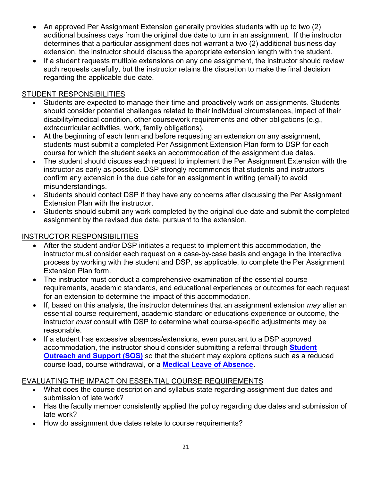- An approved Per Assignment Extension generally provides students with up to two (2) additional business days from the original due date to turn in an assignment. If the instructor determines that a particular assignment does not warrant a two (2) additional business day extension, the instructor should discuss the appropriate extension length with the student.
- If a student requests multiple extensions on any one assignment, the instructor should review such requests carefully, but the instructor retains the discretion to make the final decision regarding the applicable due date.

## STUDENT RESPONSIBILITIES

- Students are expected to manage their time and proactively work on assignments. Students should consider potential challenges related to their individual circumstances, impact of their disability/medical condition, other coursework requirements and other obligations (e.g., extracurricular activities, work, family obligations).
- At the beginning of each term and before requesting an extension on any assignment, students must submit a completed Per Assignment Extension Plan form to DSP for each course for which the student seeks an accommodation of the assignment due dates.
- The student should discuss each request to implement the Per Assignment Extension with the instructor as early as possible. DSP strongly recommends that students and instructors confirm any extension in the due date for an assignment in writing (email) to avoid misunderstandings.
- Students should contact DSP if they have any concerns after discussing the Per Assignment Extension Plan with the instructor.
- Students should submit any work completed by the original due date and submit the completed assignment by the revised due date, pursuant to the extension.

## INSTRUCTOR RESPONSIBILITIES

- After the student and/or DSP initiates a request to implement this accommodation, the instructor must consider each request on a case-by-case basis and engage in the interactive process by working with the student and DSP, as applicable, to complete the Per Assignment Extension Plan form.
- The instructor must conduct a comprehensive examination of the essential course requirements, academic standards, and educational experiences or outcomes for each request for an extension to determine the impact of this accommodation.
- If, based on this analysis, the instructor determines that an assignment extension *may* alter an essential course requirement, academic standard or educations experience or outcome, the instructor *must* consult with DSP to determine what course-specific adjustments may be reasonable.
- If a student has excessive absences/extensions, even pursuant to a DSP approved accommodation, the instructor should consider submitting a referral through **[Student](https://www.du.edu/studentlife/studentsupport/index.html)  [Outreach and Support \(SOS\)](https://www.du.edu/studentlife/studentsupport/index.html)** so that the student may explore options such as a reduced course load, course withdrawal, or a **[Medical Leave of Absence](https://www.du.edu/studentlife/studentsupport/media/documents/du-medical-leave-of-absence-and-reentry.pdf)**.

## EVALUATING THE IMPACT ON ESSENTIAL COURSE REQUIREMENTS

- What does the course description and syllabus state regarding assignment due dates and submission of late work?
- Has the faculty member consistently applied the policy regarding due dates and submission of late work?
- How do assignment due dates relate to course requirements?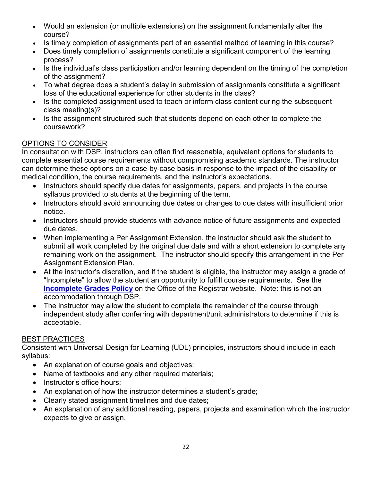- Would an extension (or multiple extensions) on the assignment fundamentally alter the course?
- Is timely completion of assignments part of an essential method of learning in this course?
- Does timely completion of assignments constitute a significant component of the learning process?
- Is the individual's class participation and/or learning dependent on the timing of the completion of the assignment?
- To what degree does a student's delay in submission of assignments constitute a significant loss of the educational experience for other students in the class?
- Is the completed assignment used to teach or inform class content during the subsequent class meeting(s)?
- Is the assignment structured such that students depend on each other to complete the coursework?

## OPTIONS TO CONSIDER

In consultation with DSP, instructors can often find reasonable, equivalent options for students to complete essential course requirements without compromising academic standards. The instructor can determine these options on a case-by-case basis in response to the impact of the disability or medical condition, the course requirements, and the instructor's expectations.

- Instructors should specify due dates for assignments, papers, and projects in the course syllabus provided to students at the beginning of the term.
- Instructors should avoid announcing due dates or changes to due dates with insufficient prior notice.
- Instructors should provide students with advance notice of future assignments and expected due dates.
- When implementing a Per Assignment Extension, the instructor should ask the student to submit all work completed by the original due date and with a short extension to complete any remaining work on the assignment. The instructor should specify this arrangement in the Per Assignment Extension Plan.
- At the instructor's discretion, and if the student is eligible, the instructor may assign a grade of "Incomplete" to allow the student an opportunity to fulfill course requirements. See the **[Incomplete Grades](https://www.du.edu/registrar/records/incompletegrade.html) Policy** on the Office of the Registrar website. Note: this is not an accommodation through DSP.
- The instructor may allow the student to complete the remainder of the course through independent study after conferring with department/unit administrators to determine if this is acceptable.

## BEST PRACTICES

Consistent with Universal Design for Learning (UDL) principles, instructors should include in each syllabus:

- An explanation of course goals and objectives;
- Name of textbooks and any other required materials;
- Instructor's office hours:
- An explanation of how the instructor determines a student's grade;
- Clearly stated assignment timelines and due dates;
- An explanation of any additional reading, papers, projects and examination which the instructor expects to give or assign.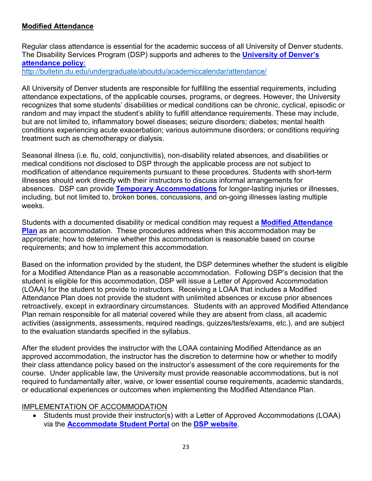## <span id="page-22-0"></span>**Modified Attendance**

Regular class attendance is essential for the academic success of all University of Denver students. The Disability Services Program (DSP) supports and adheres to the **[University of Denver's](http://bulletin.du.edu/undergraduate/aboutdu/academiccalendar/attendance/)  [attendance policy:](http://bulletin.du.edu/undergraduate/aboutdu/academiccalendar/attendance/)**

<http://bulletin.du.edu/undergraduate/aboutdu/academiccalendar/attendance/>

All University of Denver students are responsible for fulfilling the essential requirements, including attendance expectations, of the applicable courses, programs, or degrees. However, the University recognizes that some students' disabilities or medical conditions can be chronic, cyclical, episodic or random and may impact the student's ability to fulfill attendance requirements. These may include, but are not limited to, inflammatory bowel diseases; seizure disorders; diabetes; mental health conditions experiencing acute exacerbation; various autoimmune disorders; or conditions requiring treatment such as chemotherapy or dialysis.

Seasonal illness (i.e. flu, cold, conjunctivitis), non-disability related absences, and disabilities or medical conditions not disclosed to DSP through the applicable process are not subject to modification of attendance requirements pursuant to these procedures. Students with short-term illnesses should work directly with their instructors to discuss informal arrangements for absences. DSP can provide **[Temporary Accommodations](https://du-accommodate.symplicity.com/public_accommodation/)** for longer-lasting injuries or illnesses, including, but not limited to, broken bones, concussions, and on-going illnesses lasting multiple weeks.

Students with a documented disability or medical condition may request a **[Modified Attendance](https://www.du.edu/studentlife/disability-services/media/documents/modified_attendance_plan_form_081519.pdf)  [Plan](https://www.du.edu/studentlife/disability-services/media/documents/modified_attendance_plan_form_081519.pdf)** as an accommodation. These procedures address when this accommodation may be appropriate; how to determine whether this accommodation is reasonable based on course requirements; and how to implement this accommodation.

Based on the information provided by the student, the DSP determines whether the student is eligible for a Modified Attendance Plan as a reasonable accommodation. Following DSP's decision that the student is eligible for this accommodation, DSP will issue a Letter of Approved Accommodation (LOAA) for the student to provide to instructors. Receiving a LOAA that includes a Modified Attendance Plan does not provide the student with unlimited absences or excuse prior absences retroactively, except in extraordinary circumstances. Students with an approved Modified Attendance Plan remain responsible for all material covered while they are absent from class, all academic activities (assignments, assessments, required readings, quizzes/tests/exams, etc.), and are subject to the evaluation standards specified in the syllabus.

After the student provides the instructor with the LOAA containing Modified Attendance as an approved accommodation, the instructor has the discretion to determine how or whether to modify their class attendance policy based on the instructor's assessment of the core requirements for the course. Under applicable law, the University must provide reasonable accommodations, but is not required to fundamentally alter, waive, or lower essential course requirements, academic standards, or educational experiences or outcomes when implementing the Modified Attendance Plan.

### IMPLEMENTATION OF ACCOMMODATION

• Students must provide their instructor(s) with a Letter of Approved Accommodations (LOAA) via the **[Accommodate Student Portal](https://du-accommodate.symplicity.com/)** on the **[DSP website](http://www.du.edu/dsp)**.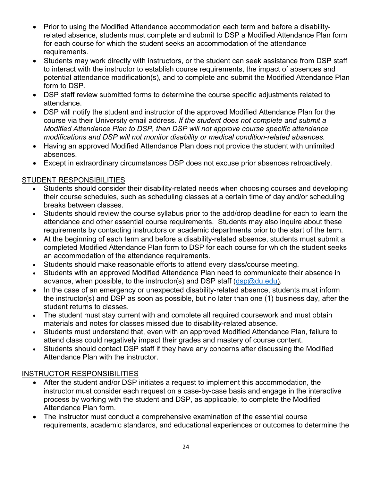- Prior to using the Modified Attendance accommodation each term and before a disabilityrelated absence, students must complete and submit to DSP a Modified Attendance Plan form for each course for which the student seeks an accommodation of the attendance requirements.
- Students may work directly with instructors, or the student can seek assistance from DSP staff to interact with the instructor to establish course requirements, the impact of absences and potential attendance modification(s), and to complete and submit the Modified Attendance Plan form to DSP.
- DSP staff review submitted forms to determine the course specific adjustments related to attendance.
- DSP will notify the student and instructor of the approved Modified Attendance Plan for the course via their University email address. *If the student does not complete and submit a Modified Attendance Plan to DSP, then DSP will not approve course specific attendance modifications and DSP will not monitor disability or medical condition-related absences.*
- Having an approved Modified Attendance Plan does not provide the student with unlimited absences.
- Except in extraordinary circumstances DSP does not excuse prior absences retroactively.

## STUDENT RESPONSIBILITIES

- Students should consider their disability-related needs when choosing courses and developing their course schedules, such as scheduling classes at a certain time of day and/or scheduling breaks between classes.
- Students should review the course syllabus prior to the add/drop deadline for each to learn the attendance and other essential course requirements. Students may also inquire about these requirements by contacting instructors or academic departments prior to the start of the term.
- At the beginning of each term and before a disability-related absence, students must submit a completed Modified Attendance Plan form to DSP for each course for which the student seeks an accommodation of the attendance requirements.
- Students should make reasonable efforts to attend every class/course meeting.
- Students with an approved Modified Attendance Plan need to communicate their absence in advance, when possible, to the instructor(s) and DSP staff  $(dsp@du.edu)$ .
- In the case of an emergency or unexpected disability-related absence, students must inform the instructor(s) and DSP as soon as possible, but no later than one (1) business day, after the student returns to classes.
- The student must stay current with and complete all required coursework and must obtain materials and notes for classes missed due to disability-related absence.
- Students must understand that, even with an approved Modified Attendance Plan, failure to attend class could negatively impact their grades and mastery of course content.
- Students should contact DSP staff if they have any concerns after discussing the Modified Attendance Plan with the instructor.

## INSTRUCTOR RESPONSIBILITIES

- After the student and/or DSP initiates a request to implement this accommodation, the instructor must consider each request on a case-by-case basis and engage in the interactive process by working with the student and DSP, as applicable, to complete the Modified Attendance Plan form.
- The instructor must conduct a comprehensive examination of the essential course requirements, academic standards, and educational experiences or outcomes to determine the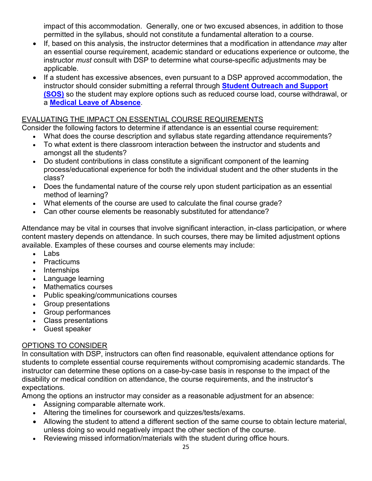impact of this accommodation. Generally, one or two excused absences, in addition to those permitted in the syllabus, should not constitute a fundamental alteration to a course.

- If, based on this analysis, the instructor determines that a modification in attendance *may* alter an essential course requirement, academic standard or educations experience or outcome, the instructor *must* consult with DSP to determine what course-specific adjustments may be applicable.
- If a student has excessive absences, even pursuant to a DSP approved accommodation, the instructor should consider submitting a referral through **[Student Outreach and Support](https://www.du.edu/studentlife/studentsupport/support_outreach/index.html)  [\(SOS\)](https://www.du.edu/studentlife/studentsupport/support_outreach/index.html)** so the student may explore options such as reduced course load, course withdrawal, or a **[Medical Leave of Absence](https://www.du.edu/studentlife/studentsupport/media/documents/du-medical-leave-of-absence-and-reentry.pdf)**.

## EVALUATING THE IMPACT ON ESSENTIAL COURSE REQUIREMENTS

Consider the following factors to determine if attendance is an essential course requirement:

- What does the course description and syllabus state regarding attendance requirements?
- To what extent is there classroom interaction between the instructor and students and amongst all the students?
- Do student contributions in class constitute a significant component of the learning process/educational experience for both the individual student and the other students in the class?
- Does the fundamental nature of the course rely upon student participation as an essential method of learning?
- What elements of the course are used to calculate the final course grade?
- Can other course elements be reasonably substituted for attendance?

Attendance may be vital in courses that involve significant interaction, in-class participation, or where content mastery depends on attendance. In such courses, there may be limited adjustment options available. Examples of these courses and course elements may include:

- Labs
- Practicums
- Internships
- Language learning
- Mathematics courses
- Public speaking/communications courses
- Group presentations
- Group performances
- Class presentations
- Guest speaker

## OPTIONS TO CONSIDER

In consultation with DSP, instructors can often find reasonable, equivalent attendance options for students to complete essential course requirements without compromising academic standards. The instructor can determine these options on a case-by-case basis in response to the impact of the disability or medical condition on attendance, the course requirements, and the instructor's expectations.

Among the options an instructor may consider as a reasonable adjustment for an absence:

- Assigning comparable alternate work.
- Altering the timelines for coursework and quizzes/tests/exams.
- Allowing the student to attend a different section of the same course to obtain lecture material, unless doing so would negatively impact the other section of the course.
- Reviewing missed information/materials with the student during office hours.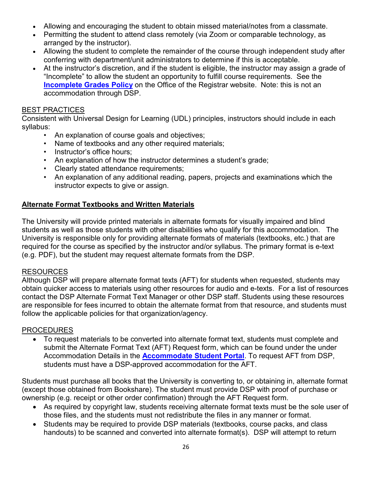- Allowing and encouraging the student to obtain missed material/notes from a classmate.
- Permitting the student to attend class remotely (via Zoom or comparable technology, as arranged by the instructor).
- Allowing the student to complete the remainder of the course through independent study after conferring with department/unit administrators to determine if this is acceptable.
- At the instructor's discretion, and if the student is eligible, the instructor may assign a grade of "Incomplete" to allow the student an opportunity to fulfill course requirements. See the **[Incomplete Grades Policy](https://www.du.edu/registrar/records/incompletegrade.html)** on the Office of the Registrar website. Note: this is not an accommodation through DSP.

#### BEST PRACTICES

Consistent with Universal Design for Learning (UDL) principles, instructors should include in each syllabus:

- An explanation of course goals and objectives;
- Name of textbooks and any other required materials;
- Instructor's office hours;
- An explanation of how the instructor determines a student's grade;
- Clearly stated attendance requirements;
- An explanation of any additional reading, papers, projects and examinations which the instructor expects to give or assign.

### <span id="page-25-0"></span>**Alternate Format Textbooks and Written Materials**

The University will provide printed materials in alternate formats for visually impaired and blind students as well as those students with other disabilities who qualify for this accommodation. The University is responsible only for providing alternate formats of materials (textbooks, etc.) that are required for the course as specified by the instructor and/or syllabus. The primary format is e-text (e.g. PDF), but the student may request alternate formats from the DSP.

#### **RESOURCES**

Although DSP will prepare alternate format texts (AFT) for students when requested, students may obtain quicker access to materials using other resources for audio and e-texts. For a list of resources contact the DSP Alternate Format Text Manager or other DSP staff. Students using these resources are responsible for fees incurred to obtain the alternate format from that resource, and students must follow the applicable policies for that organization/agency.

#### PROCEDURES

• To request materials to be converted into alternate format text, students must complete and submit the Alternate Format Text (AFT) Request form, which can be found under the under Accommodation Details in the **[Accommodate Student Portal](https://du-accommodate.symplicity.com/)**. To request AFT from DSP, students must have a DSP-approved accommodation for the AFT.

Students must purchase all books that the University is converting to, or obtaining in, alternate format (except those obtained from Bookshare). The student must provide DSP with proof of purchase or ownership (e.g. receipt or other order confirmation) through the AFT Request form.

- As required by copyright law, students receiving alternate format texts must be the sole user of those files, and the students must not redistribute the files in any manner or format.
- Students may be required to provide DSP materials (textbooks, course packs, and class handouts) to be scanned and converted into alternate format(s). DSP will attempt to return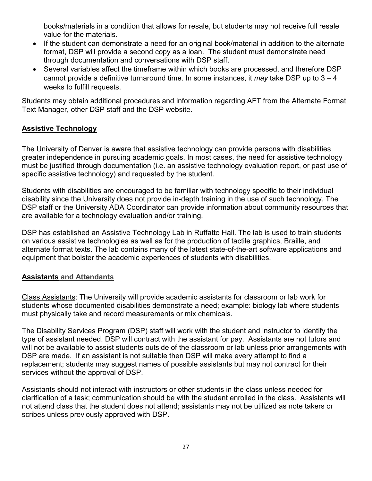books/materials in a condition that allows for resale, but students may not receive full resale value for the materials.

- If the student can demonstrate a need for an original book/material in addition to the alternate format, DSP will provide a second copy as a loan. The student must demonstrate need through documentation and conversations with DSP staff.
- Several variables affect the timeframe within which books are processed, and therefore DSP cannot provide a definitive turnaround time. In some instances, it *may* take DSP up to 3 – 4 weeks to fulfill requests.

Students may obtain additional procedures and information regarding AFT from the Alternate Format Text Manager, other DSP staff and the DSP website.

## <span id="page-26-0"></span>**Assistive Technology**

The University of Denver is aware that assistive technology can provide persons with disabilities greater independence in pursuing academic goals. In most cases, the need for assistive technology must be justified through documentation (i.e. an assistive technology evaluation report, or past use of specific assistive technology) and requested by the student.

Students with disabilities are encouraged to be familiar with technology specific to their individual disability since the University does not provide in-depth training in the use of such technology. The DSP staff or the University ADA Coordinator can provide information about community resources that are available for a technology evaluation and/or training.

DSP has established an Assistive Technology Lab in Ruffatto Hall. The lab is used to train students on various assistive technologies as well as for the production of tactile graphics, Braille, and alternate format texts. The lab contains many of the latest state-of-the-art software applications and equipment that bolster the academic experiences of students with disabilities.

### <span id="page-26-1"></span>**Assistants and Attendants**

Class Assistants: The University will provide academic assistants for classroom or lab work for students whose documented disabilities demonstrate a need; example: biology lab where students must physically take and record measurements or mix chemicals.

The Disability Services Program (DSP) staff will work with the student and instructor to identify the type of assistant needed. DSP will contract with the assistant for pay. Assistants are not tutors and will not be available to assist students outside of the classroom or lab unless prior arrangements with DSP are made. If an assistant is not suitable then DSP will make every attempt to find a replacement; students may suggest names of possible assistants but may not contract for their services without the approval of DSP.

Assistants should not interact with instructors or other students in the class unless needed for clarification of a task; communication should be with the student enrolled in the class. Assistants will not attend class that the student does not attend; assistants may not be utilized as note takers or scribes unless previously approved with DSP.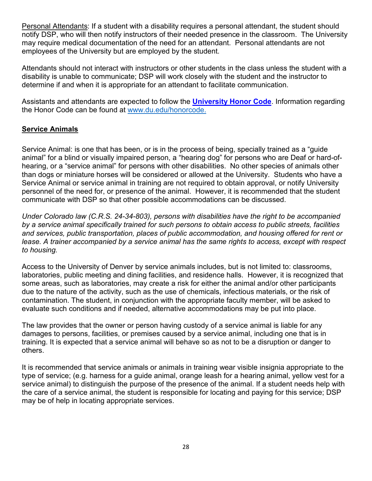Personal Attendants: If a student with a disability requires a personal attendant, the student should notify DSP, who will then notify instructors of their needed presence in the classroom. The University may require medical documentation of the need for an attendant. Personal attendants are not employees of the University but are employed by the student.

Attendants should not interact with instructors or other students in the class unless the student with a disability is unable to communicate; DSP will work closely with the student and the instructor to determine if and when it is appropriate for an attendant to facilitate communication.

Assistants and attendants are expected to follow the **[University Honor Code](http://www.du.edu/honorcode)**. Information regarding the Honor Code can be found at [www.du.edu/honorcode.](http://www.du.edu/honorcode)

### **Service Animals**

Service Animal: is one that has been, or is in the process of being, specially trained as a "guide animal" for a blind or visually impaired person, a "hearing dog" for persons who are Deaf or hard-ofhearing, or a "service animal" for persons with other disabilities. No other species of animals other than dogs or miniature horses will be considered or allowed at the University. Students who have a Service Animal or service animal in training are not required to obtain approval, or notify University personnel of the need for, or presence of the animal. However, it is recommended that the student communicate with DSP so that other possible accommodations can be discussed.

*Under Colorado law (C.R.S. 24-34-803), persons with disabilities have the right to be accompanied by a service animal specifically trained for such persons to obtain access to public streets, facilities*  and services, public transportation, places of public accommodation, and housing offered for rent or *lease. A trainer accompanied by a service animal has the same rights to access, except with respect to housing.*

Access to the University of Denver by service animals includes, but is not limited to: classrooms, laboratories, public meeting and dining facilities, and residence halls. However, it is recognized that some areas, such as laboratories, may create a risk for either the animal and/or other participants due to the nature of the activity, such as the use of chemicals, infectious materials, or the risk of contamination. The student, in conjunction with the appropriate faculty member, will be asked to evaluate such conditions and if needed, alternative accommodations may be put into place.

The law provides that the owner or person having custody of a service animal is liable for any damages to persons, facilities, or premises caused by a service animal, including one that is in training. It is expected that a service animal will behave so as not to be a disruption or danger to others.

It is recommended that service animals or animals in training wear visible insignia appropriate to the type of service; (e.g. harness for a guide animal, orange leash for a hearing animal, yellow vest for a service animal) to distinguish the purpose of the presence of the animal. If a student needs help with the care of a service animal, the student is responsible for locating and paying for this service; DSP may be of help in locating appropriate services.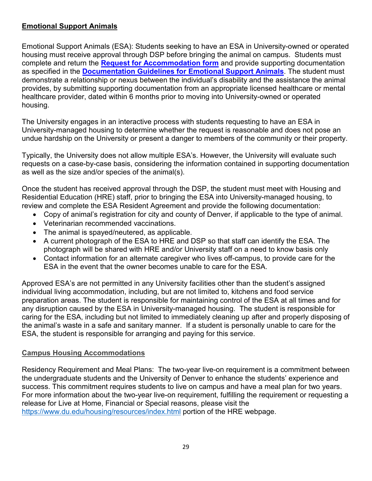## <span id="page-28-0"></span>**Emotional Support Animals**

Emotional Support Animals (ESA): Students seeking to have an ESA in University-owned or operated housing must receive approval through DSP before bringing the animal on campus. Students must complete and return the **[Request for Accommodation form](https://du-accommodate.symplicity.com/public_accommodation/)** and provide supporting documentation as specified in the **[Documentation Guidelines for Emotional Support Animals](https://www.du.edu/studentlife/disability-services/media/documents/esa_doc_guidelines_8-1-18.pdf)**. The student must demonstrate a relationship or nexus between the individual's disability and the assistance the animal provides, by submitting supporting documentation from an appropriate licensed healthcare or mental healthcare provider, dated within 6 months prior to moving into University-owned or operated housing.

The University engages in an interactive process with students requesting to have an ESA in University-managed housing to determine whether the request is reasonable and does not pose an undue hardship on the University or present a danger to members of the community or their property.

Typically, the University does not allow multiple ESA's. However, the University will evaluate such requests on a case-by-case basis, considering the information contained in supporting documentation as well as the size and/or species of the animal(s).

Once the student has received approval through the DSP, the student must meet with Housing and Residential Education (HRE) staff, prior to bringing the ESA into University-managed housing, to review and complete the ESA Resident Agreement and provide the following documentation:

- Copy of animal's registration for city and county of Denver, if applicable to the type of animal.
- Veterinarian recommended vaccinations.
- The animal is spayed/neutered, as applicable.
- A current photograph of the ESA to HRE and DSP so that staff can identify the ESA. The photograph will be shared with HRE and/or University staff on a need to know basis only
- Contact information for an alternate caregiver who lives off-campus, to provide care for the ESA in the event that the owner becomes unable to care for the ESA.

Approved ESA's are not permitted in any University facilities other than the student's assigned individual living accommodation, including, but are not limited to, kitchens and food service preparation areas. The student is responsible for maintaining control of the ESA at all times and for any disruption caused by the ESA in University-managed housing. The student is responsible for caring for the ESA, including but not limited to immediately cleaning up after and properly disposing of the animal's waste in a safe and sanitary manner. If a student is personally unable to care for the ESA, the student is responsible for arranging and paying for this service.

#### <span id="page-28-1"></span>**Campus Housing Accommodations**

Residency Requirement and Meal Plans: The two-year live-on requirement is a commitment between the undergraduate students and the University of Denver to enhance the students' experience and success. This commitment requires students to live on campus and have a meal plan for two years. For more information about the two-year live-on requirement, fulfilling the requirement or requesting a release for Live at Home, Financial or Special reasons, please visit the <https://www.du.edu/housing/resources/index.html> portion of the HRE webpage.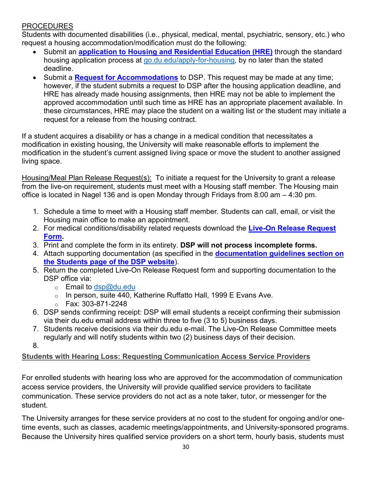## PROCEDURES

Students with documented disabilities (i.e., physical, medical, mental, psychiatric, sensory, etc.) who request a housing accommodation/modification must do the following:

- Submit an **[application to Housing and Residential Education \(HRE\)](http://go.du.edu/apply-for-housing)** through the standard housing application process at [go.du.edu/apply-for-housing,](http://go.du.edu/apply-for-housing) by no later than the stated deadline.
- Submit a **[Request for Accommodations](https://du-accommodate.symplicity.com/public_accommodation/)** to DSP. This request may be made at any time; however, if the student submits a request to DSP after the housing application deadline, and HRE has already made housing assignments, then HRE may not be able to implement the approved accommodation until such time as HRE has an appropriate placement available. In these circumstances, HRE may place the student on a waiting list or the student may initiate a request for a release from the housing contract.

If a student acquires a disability or has a change in a medical condition that necessitates a modification in existing housing, the University will make reasonable efforts to implement the modification in the student's current assigned living space or move the student to another assigned living space.

Housing/Meal Plan Release Request(s): To initiate a request for the University to grant a release from the live-on requirement, students must meet with a Housing staff member. The Housing main office is located in Nagel 136 and is open Monday through Fridays from 8:00 am – 4:30 pm.

- 1. Schedule a time to meet with a Housing staff member. Students can call, email, or visit the Housing main office to make an appointment.
- 2. For medical conditions/disability related requests download the **[Live-On Release Request](https://www.du.edu/studentlife/disability-services/media/documents/live_on_requirement_release_request_form_a.pdf)  [Form.](https://www.du.edu/studentlife/disability-services/media/documents/live_on_requirement_release_request_form_a.pdf)**
- 3. Print and complete the form in its entirety. **DSP will not process incomplete forms.**
- 4. Attach supporting documentation (as specified in the **[documentation guidelines section on](https://www.du.edu/studentlife/disability-services/students/index.html)  [the Students page of the DSP website](https://www.du.edu/studentlife/disability-services/students/index.html)**).
- 5. Return the completed Live-On Release Request form and supporting documentation to the DSP office via:
	- $\circ$  Email to [dsp@du.edu](mailto:dsp@du.edu)
	- $\circ$  In person, suite 440, Katherine Ruffatto Hall, 1999 E Evans Ave.
	- o Fax: 303-871-2248
- 6. DSP sends confirming receipt: DSP will email students a receipt confirming their submission via their du.edu email address within three to five (3 to 5) business days.
- 7. Students receive decisions via their du.edu e-mail. The Live-On Release Committee meets regularly and will notify students within two (2) business days of their decision.

8.

## <span id="page-29-0"></span>**Students with Hearing Loss: Requesting Communication Access Service Providers**

For enrolled students with hearing loss who are approved for the accommodation of communication access service providers, the University will provide qualified service providers to facilitate communication. These service providers do not act as a note taker, tutor, or messenger for the student.

The University arranges for these service providers at no cost to the student for ongoing and/or onetime events, such as classes, academic meetings/appointments, and University-sponsored programs. Because the University hires qualified service providers on a short term, hourly basis, students must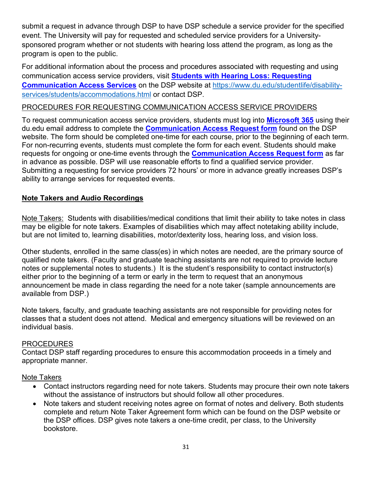submit a request in advance through DSP to have DSP schedule a service provider for the specified event. The University will pay for requested and scheduled service providers for a Universitysponsored program whether or not students with hearing loss attend the program, as long as the program is open to the public.

For additional information about the process and procedures associated with requesting and using communication access service providers, visit **[Students with Hearing Loss: Requesting](https://www.du.edu/studentlife/disability-services/students/accommodations.html) [Communication Access Services](https://www.du.edu/studentlife/disability-services/students/accommodations.html)** on the DSP website at [https://www.du.edu/studentlife/disability](https://www.du.edu/studentlife/disability-services/students/accommodations.html)[services/students/accommodations.html](https://www.du.edu/studentlife/disability-services/students/accommodations.html) or contact DSP.

### PROCEDURES FOR REQUESTING COMMUNICATION ACCESS SERVICE PROVIDERS

To request communication access service providers, students must log into **[Microsoft 365](http://office365.du.edu/)** using their du.edu email address to complete the **[Communication Access Request form](https://forms.office.com/Pages/ResponsePage.aspx?id=N3A8b8KF5kCd7BiwLSiSiHWNVF2toxpKgum1tT4EWShUME84V0NDUERMMjJaSzE5S1RGU1NET0oxMC4u)** found on the DSP website. The form should be completed one-time for each course, prior to the beginning of each term. For non-recurring events, students must complete the form for each event. Students should make requests for ongoing or one-time events through the **[Communication Access Request form](https://forms.office.com/Pages/ResponsePage.aspx?id=N3A8b8KF5kCd7BiwLSiSiHWNVF2toxpKgum1tT4EWShUME84V0NDUERMMjJaSzE5S1RGU1NET0oxMC4u)** as far in advance as possible. DSP will use reasonable efforts to find a qualified service provider. Submitting a requesting for service providers 72 hours' or more in advance greatly increases DSP's ability to arrange services for requested events.

#### <span id="page-30-0"></span>**Note Takers and Audio Recordings**

Note Takers: Students with disabilities/medical conditions that limit their ability to take notes in class may be eligible for note takers. Examples of disabilities which may affect notetaking ability include, but are not limited to, learning disabilities, motor/dexterity loss, hearing loss, and vision loss.

Other students, enrolled in the same class(es) in which notes are needed, are the primary source of qualified note takers. (Faculty and graduate teaching assistants are not required to provide lecture notes or supplemental notes to students.) It is the student's responsibility to contact instructor(s) either prior to the beginning of a term or early in the term to request that an anonymous announcement be made in class regarding the need for a note taker (sample announcements are available from DSP.)

Note takers, faculty, and graduate teaching assistants are not responsible for providing notes for classes that a student does not attend. Medical and emergency situations will be reviewed on an individual basis.

#### PROCEDURES

Contact DSP staff regarding procedures to ensure this accommodation proceeds in a timely and appropriate manner.

#### Note Takers

- Contact instructors regarding need for note takers. Students may procure their own note takers without the assistance of instructors but should follow all other procedures.
- Note takers and student receiving notes agree on format of notes and delivery. Both students complete and return Note Taker Agreement form which can be found on the DSP website or the DSP offices. DSP gives note takers a one-time credit, per class, to the University bookstore.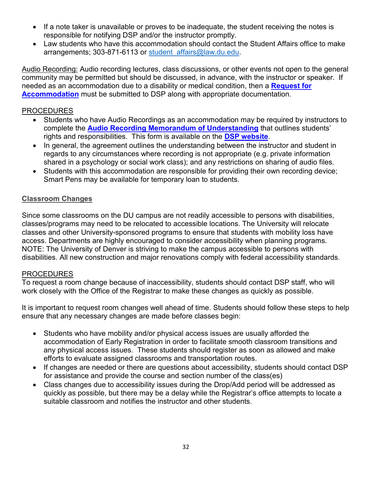- If a note taker is unavailable or proves to be inadequate, the student receiving the notes is responsible for notifying DSP and/or the instructor promptly.
- Law students who have this accommodation should contact the Student Affairs office to make arrangements; 303-871-6113 or student affairs@law.du.edu.

Audio Recording: Audio recording lectures, class discussions, or other events not open to the general community may be permitted but should be discussed, in advance, with the instructor or speaker. If needed as an accommodation due to a disability or medical condition, then a **[Request for](https://du-accommodate.symplicity.com/public_accommodation/)  [Accommodation](https://du-accommodate.symplicity.com/public_accommodation/)** must be submitted to DSP along with appropriate documentation.

#### PROCEDURES

- Students who have Audio Recordings as an accommodation may be required by instructors to complete the **[Audio Recording Memorandum of Understanding](https://www.du.edu/studentlife/disability-services/media/documents/mou_recording_lectures.pdf)** that outlines students' rights and responsibilities. This form is available on the **[DSP website](http://www.du.edu/dsp)**.
- In general, the agreement outlines the understanding between the instructor and student in regards to any circumstances where recording is not appropriate (e.g. private information shared in a psychology or social work class); and any restrictions on sharing of audio files.
- Students with this accommodation are responsible for providing their own recording device; Smart Pens may be available for temporary loan to students.

### <span id="page-31-0"></span>**Classroom Changes**

Since some classrooms on the DU campus are not readily accessible to persons with disabilities, classes/programs may need to be relocated to accessible locations. The University will relocate classes and other University-sponsored programs to ensure that students with mobility loss have access. Departments are highly encouraged to consider accessibility when planning programs. NOTE: The University of Denver is striving to make the campus accessible to persons with disabilities. All new construction and major renovations comply with federal accessibility standards.

#### **PROCEDURES**

To request a room change because of inaccessibility, students should contact DSP staff, who will work closely with the Office of the Registrar to make these changes as quickly as possible.

It is important to request room changes well ahead of time. Students should follow these steps to help ensure that any necessary changes are made before classes begin:

- Students who have mobility and/or physical access issues are usually afforded the accommodation of Early Registration in order to facilitate smooth classroom transitions and any physical access issues. These students should register as soon as allowed and make efforts to evaluate assigned classrooms and transportation routes.
- If changes are needed or there are questions about accessibility, students should contact DSP for assistance and provide the course and section number of the class(es)
- Class changes due to accessibility issues during the Drop/Add period will be addressed as quickly as possible, but there may be a delay while the Registrar's office attempts to locate a suitable classroom and notifies the instructor and other students.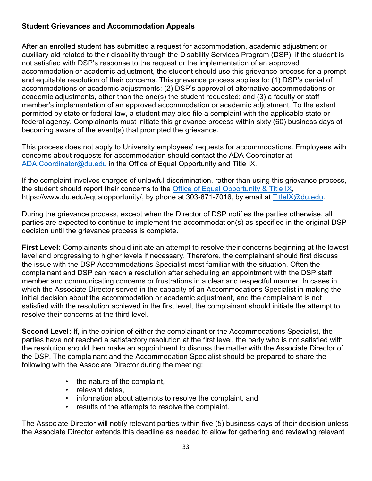## <span id="page-32-0"></span>**Student Grievances and Accommodation Appeals**

After an enrolled student has submitted a request for accommodation, academic adjustment or auxiliary aid related to their disability through the Disability Services Program (DSP), if the student is not satisfied with DSP's response to the request or the implementation of an approved accommodation or academic adjustment, the student should use this grievance process for a prompt and equitable resolution of their concerns. This grievance process applies to: (1) DSP's denial of accommodations or academic adjustments; (2) DSP's approval of alternative accommodations or academic adjustments, other than the one(s) the student requested; and (3) a faculty or staff member's implementation of an approved accommodation or academic adjustment. To the extent permitted by state or federal law, a student may also file a complaint with the applicable state or federal agency. Complainants must initiate this grievance process within sixty (60) business days of becoming aware of the event(s) that prompted the grievance.

This process does not apply to University employees' requests for accommodations. Employees with concerns about requests for accommodation should contact the ADA Coordinator at [ADA.Coordinator@du.edu](mailto:ADA.Coordinator@du.edu) in the Office of Equal Opportunity and Title IX.

If the complaint involves charges of unlawful discrimination, rather than using this grievance process, the student should report their concerns to the [Office of Equal Opportunity & Title IX,](https://www.du.edu/equalopportunity/) https://www.du.edu/equalopportunity/, by phone at 303-871-7016, by email at [TitleIX@du.edu.](mailto:TitleIX@du.edu)

During the grievance process, except when the Director of DSP notifies the parties otherwise, all parties are expected to continue to implement the accommodation(s) as specified in the original DSP decision until the grievance process is complete.

**First Level:** Complainants should initiate an attempt to resolve their concerns beginning at the lowest level and progressing to higher levels if necessary. Therefore, the complainant should first discuss the issue with the DSP Accommodations Specialist most familiar with the situation. Often the complainant and DSP can reach a resolution after scheduling an appointment with the DSP staff member and communicating concerns or frustrations in a clear and respectful manner. In cases in which the Associate Director served in the capacity of an Accommodations Specialist in making the initial decision about the accommodation or academic adjustment, and the complainant is not satisfied with the resolution achieved in the first level, the complainant should initiate the attempt to resolve their concerns at the third level.

**Second Level:** If, in the opinion of either the complainant or the Accommodations Specialist, the parties have not reached a satisfactory resolution at the first level, the party who is not satisfied with the resolution should then make an appointment to discuss the matter with the Associate Director of the DSP. The complainant and the Accommodation Specialist should be prepared to share the following with the Associate Director during the meeting:

- the nature of the complaint,
- relevant dates,
- information about attempts to resolve the complaint, and
- results of the attempts to resolve the complaint.

The Associate Director will notify relevant parties within five (5) business days of their decision unless the Associate Director extends this deadline as needed to allow for gathering and reviewing relevant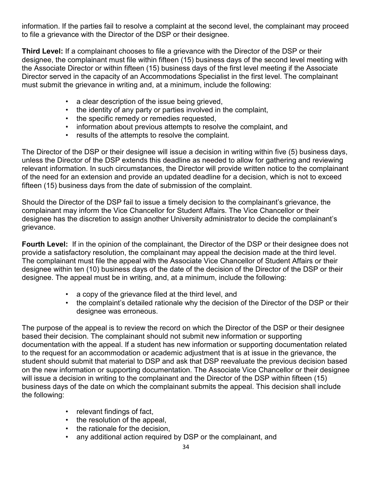information. If the parties fail to resolve a complaint at the second level, the complainant may proceed to file a grievance with the Director of the DSP or their designee.

**Third Level:** If a complainant chooses to file a grievance with the Director of the DSP or their designee, the complainant must file within fifteen (15) business days of the second level meeting with the Associate Director or within fifteen (15) business days of the first level meeting if the Associate Director served in the capacity of an Accommodations Specialist in the first level. The complainant must submit the grievance in writing and, at a minimum, include the following:

- a clear description of the issue being grieved,
- the identity of any party or parties involved in the complaint,
- the specific remedy or remedies requested,
- information about previous attempts to resolve the complaint, and
- results of the attempts to resolve the complaint.

The Director of the DSP or their designee will issue a decision in writing within five (5) business days, unless the Director of the DSP extends this deadline as needed to allow for gathering and reviewing relevant information. In such circumstances, the Director will provide written notice to the complainant of the need for an extension and provide an updated deadline for a decision, which is not to exceed fifteen (15) business days from the date of submission of the complaint.

Should the Director of the DSP fail to issue a timely decision to the complainant's grievance, the complainant may inform the Vice Chancellor for Student Affairs. The Vice Chancellor or their designee has the discretion to assign another University administrator to decide the complainant's grievance.

**Fourth Level:** If in the opinion of the complainant, the Director of the DSP or their designee does not provide a satisfactory resolution, the complainant may appeal the decision made at the third level. The complainant must file the appeal with the Associate Vice Chancellor of Student Affairs or their designee within ten (10) business days of the date of the decision of the Director of the DSP or their designee. The appeal must be in writing, and, at a minimum, include the following:

- a copy of the grievance filed at the third level, and
- the complaint's detailed rationale why the decision of the Director of the DSP or their designee was erroneous.

The purpose of the appeal is to review the record on which the Director of the DSP or their designee based their decision. The complainant should not submit new information or supporting documentation with the appeal. If a student has new information or supporting documentation related to the request for an accommodation or academic adjustment that is at issue in the grievance, the student should submit that material to DSP and ask that DSP reevaluate the previous decision based on the new information or supporting documentation. The Associate Vice Chancellor or their designee will issue a decision in writing to the complainant and the Director of the DSP within fifteen (15) business days of the date on which the complainant submits the appeal. This decision shall include the following:

- relevant findings of fact,
- the resolution of the appeal,
- the rationale for the decision,
- any additional action required by DSP or the complainant, and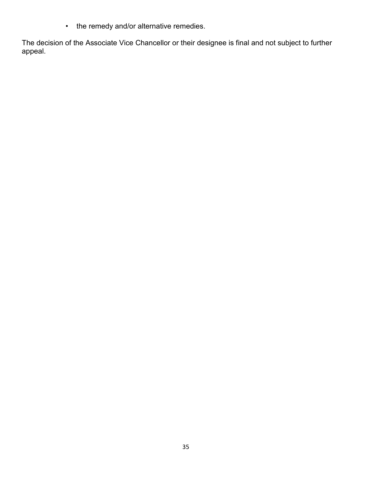• the remedy and/or alternative remedies.

The decision of the Associate Vice Chancellor or their designee is final and not subject to further appeal.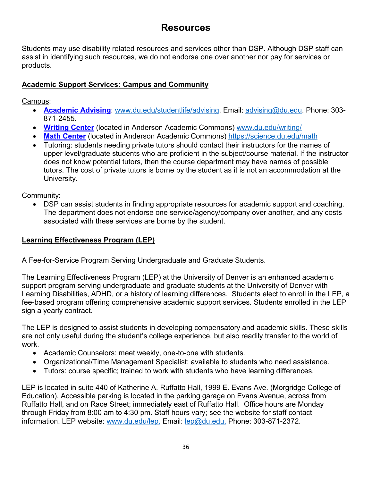## **Resources**

<span id="page-35-0"></span>Students may use disability related resources and services other than DSP. Although DSP staff can assist in identifying such resources, we do not endorse one over another nor pay for services or products.

## <span id="page-35-1"></span>**Academic Support Services: Campus and Community**

Campus:

- **[Academic Advising](http://www.du.edu/studentlife/advising/index.html)**: [www.du.edu/studentlife/advising.](http://www.du.edu/studentlife/advising) Email: [advising@du.edu.](mailto:advising@du.edu) Phone: 303- 871-2455.
- **[Writing Center](http://www.du.edu/writing/)** (located in Anderson Academic Commons) [www.du.edu/writing/](http://www.du.edu/writing/)
- **[Math Center](https://science.du.edu/math)** (located in Anderson Academic Commons) https://science.du.edu/math
- Tutoring: students needing private tutors should contact their instructors for the names of upper level/graduate students who are proficient in the subject/course material. If the instructor does not know potential tutors, then the course department may have names of possible tutors. The cost of private tutors is borne by the student as it is not an accommodation at the University.

Community:

• DSP can assist students in finding appropriate resources for academic support and coaching. The department does not endorse one service/agency/company over another, and any costs associated with these services are borne by the student.

## <span id="page-35-2"></span>**Learning Effectiveness Program (LEP)**

A Fee-for-Service Program Serving Undergraduate and Graduate Students.

The Learning Effectiveness Program (LEP) at the University of Denver is an enhanced academic support program serving undergraduate and graduate students at the University of Denver with Learning Disabilities, ADHD, or a history of learning differences. Students elect to enroll in the LEP, a fee-based program offering comprehensive academic support services. Students enrolled in the LEP sign a yearly contract.

The LEP is designed to assist students in developing compensatory and academic skills. These skills are not only useful during the student's college experience, but also readily transfer to the world of work.

- Academic Counselors: meet weekly, one-to-one with students.
- Organizational/Time Management Specialist: available to students who need assistance.
- Tutors: course specific; trained to work with students who have learning differences.

LEP is located in suite 440 of Katherine A. Ruffatto Hall, 1999 E. Evans Ave. (Morgridge College of Education). Accessible parking is located in the parking garage on Evans Avenue, across from Ruffatto Hall, and on Race Street; immediately east of Ruffatto Hall. Office hours are Monday through Friday from 8:00 am to 4:30 pm. Staff hours vary; see the website for staff contact information. LEP website: [www.du.edu/lep.](http://www.du.edu/lep) Email: [lep@du.edu.](mailto:lep@du.edu) Phone: 303-871-2372.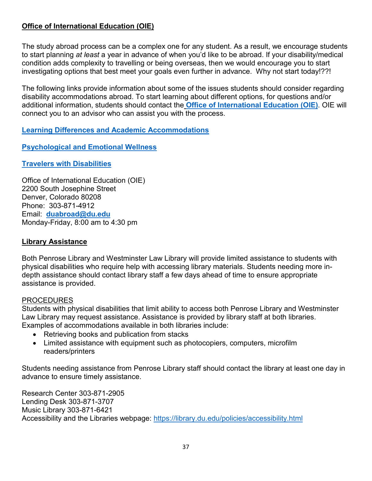## <span id="page-36-0"></span>**Office of International Education (OIE)**

The study abroad process can be a complex one for any student. As a result, we encourage students to start planning *at least* a year in advance of when you'd like to be abroad. If your disability/medical condition adds complexity to travelling or being overseas, then we would encourage you to start investigating options that best meet your goals even further in advance. Why not start today!??!

The following links provide information about some of the issues students should consider regarding disability accommodations abroad. To start learning about different options, for questions and/or additional information, students should contact the **[Office of International Education](https://www.du.edu/abroad/index.html) (OIE)**. OIE will connect you to an advisor who can assist you with the process.

### **Learning Differences and [Academic Accommodations](https://canvas.du.edu/courses/63078/pages/learning-differences-and-academic-accommodations?module_item_id=739457)**

## **[Psychological and Emotional Wellness](https://canvas.du.edu/courses/63078/pages/psychological-and-emotional-wellness?module_item_id=743614)**

### **[Travelers with Disabilities](https://canvas.du.edu/courses/63078/pages/travelers-with-disabilites?module_item_id=746460)**

Office of International Education (OIE) 2200 South Josephine Street Denver, Colorado 80208 Phone: 303-871-4912 Email: **[duabroad@du.edu](mailto:duabroad@du.edu)** Monday-Friday, 8:00 am to 4:30 pm

### <span id="page-36-1"></span>**Library Assistance**

Both Penrose Library and Westminster Law Library will provide limited assistance to students with physical disabilities who require help with accessing library materials. Students needing more indepth assistance should contact library staff a few days ahead of time to ensure appropriate assistance is provided.

#### PROCEDURES

Students with physical disabilities that limit ability to access both Penrose Library and Westminster Law Library may request assistance. Assistance is provided by library staff at both libraries. Examples of accommodations available in both libraries include:

- Retrieving books and publication from stacks
- Limited assistance with equipment such as photocopiers, computers, microfilm readers/printers

Students needing assistance from Penrose Library staff should contact the library at least one day in advance to ensure timely assistance.

Research Center 303-871-2905 Lending Desk 303-871-3707 Music Library 303-871-6421 Accessibility and the Libraries webpage:<https://library.du.edu/policies/accessibility.html>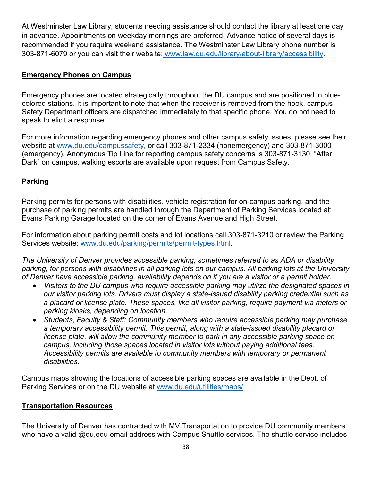At Westminster Law Library, students needing assistance should contact the library at least one day in advance. Appointments on weekday mornings are preferred. Advance notice of several days is recommended if you require weekend assistance. The Westminster Law Library phone number is 303-871-6079 or you can visit their website: [www.law.du.edu/library/about-library/accessibility.](http://www.law.du.edu/library/about-library/accessibility)

### <span id="page-37-0"></span>**Emergency Phones on Campus**

Emergency phones are located strategically throughout the DU campus and are positioned in bluecolored stations. It is important to note that when the receiver is removed from the hook, campus Safety Department officers are dispatched immediately to that specific phone. You do not need to speak to elicit a response.

For more information regarding emergency phones and other campus safety issues, please see their website at [www.du.edu/campussafety,](http://www.du.edu/campussafety) or call 303-871-2334 (nonemergency) and 303-871-3000 (emergency). Anonymous Tip Line for reporting campus safety concerns is 303-871-3130. "After Dark" on campus, walking escorts are available upon request from Campus Safety.

### <span id="page-37-1"></span>**Parking**

Parking permits for persons with disabilities, vehicle registration for on-campus parking, and the purchase of parking permits are handled through the Department of Parking Services located at: Evans Parking Garage located on the corner of Evans Avenue and High Street.

For information about parking permit costs and lot locations call 303-871-3210 or review the Parking Services website: [www.du.edu/parking/permits/permit-types.html.](http://www.du.edu/parking/permits/permit-types.html)

*The University of Denver provides accessible parking, sometimes referred to as ADA or disability parking, for persons with disabilities in all parking lots on our campus. All parking lots at the University of Denver have accessible parking, availability depends on if you are a visitor or a permit holder.*

- *Visitors to the DU campus who require accessible parking may utilize the designated spaces in our visitor parking lots. Drivers must display a state-issued disability parking credential such as a placard or license plate. These spaces, like all visitor parking, require payment via meters or parking kiosks, depending on location.*
- *Students, Faculty & Staff: Community members who require accessible parking may purchase a temporary accessibility permit. This permit, along with a state-issued disability placard or license plate, will allow the community member to park in any accessible parking space on campus, including those spaces located in visitor lots without paying additional fees. Accessibility permits are available to community members with temporary or permanent disabilities.*

Campus maps showing the locations of accessible parking spaces are available in the Dept. of Parking Services or on the DU website at [www.du.edu/utilities/maps/.](http://www.du.edu/maps/)

#### <span id="page-37-2"></span>**Transportation Resources**

The University of Denver has contracted with MV Transportation to provide DU community members who have a valid @du.edu email address with Campus Shuttle services. The shuttle service includes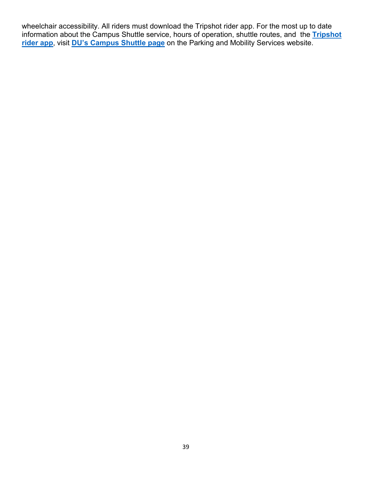wheelchair accessibility. All riders must download the Tripshot rider app. For the most up to date information about the Campus Shuttle service, hours of operation, shuttle routes, and the **[Tripshot](https://www.tripshot.com/features/mobile-apps/)  [rider app](https://www.tripshot.com/features/mobile-apps/)**, visit **[DU's Campus Shuttle page](https://www.du.edu/parking/mobility/shuttle.html)** on the Parking and Mobility Services website.